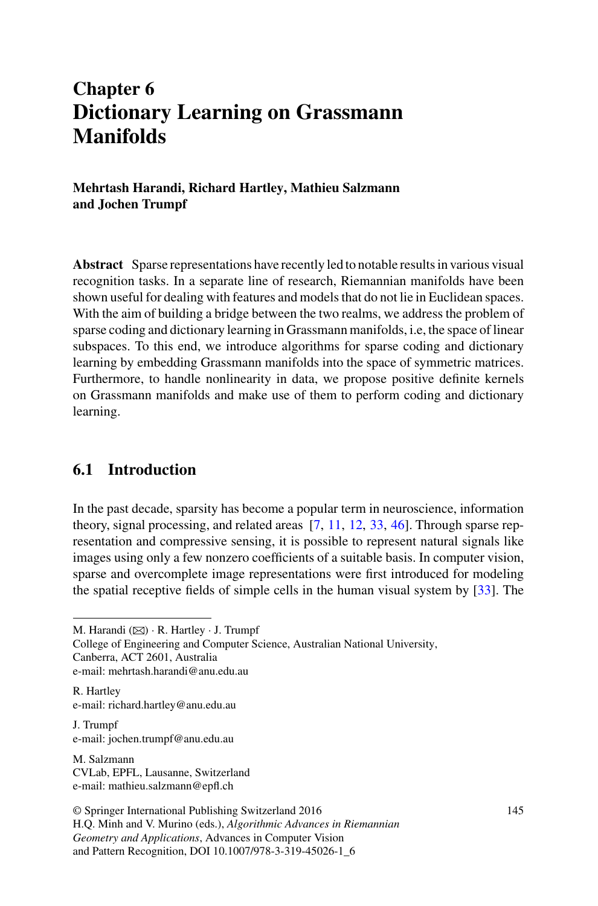# **Chapter 6 Dictionary Learning on Grassmann Manifolds**

**Mehrtash Harandi, Richard Hartley, Mathieu Salzmann and Jochen Trumpf**

**Abstract** Sparse representations have recently led to notable results in various visual recognition tasks. In a separate line of research, Riemannian manifolds have been shown useful for dealing with features and models that do not lie in Euclidean spaces. With the aim of building a bridge between the two realms, we address the problem of sparse coding and dictionary learning in Grassmann manifolds, i.e, the space of linear subspaces. To this end, we introduce algorithms for sparse coding and dictionary learning by embedding Grassmann manifolds into the space of symmetric matrices. Furthermore, to handle nonlinearity in data, we propose positive definite kernels on Grassmann manifolds and make use of them to perform coding and dictionary learning.

# **6.1 Introduction**

In the past decade, sparsity has become a popular term in neuroscience, information theory, signal processing, and related areas [\[7,](#page-25-0) [11](#page-25-1), [12,](#page-26-0) [33](#page-27-0), [46](#page-27-1)]. Through sparse representation and compressive sensing, it is possible to represent natural signals like images using only a few nonzero coefficients of a suitable basis. In computer vision, sparse and overcomplete image representations were first introduced for modeling the spatial receptive fields of simple cells in the human visual system by [\[33](#page-27-0)]. The

College of Engineering and Computer Science, Australian National University, Canberra, ACT 2601, Australia e-mail: mehrtash.harandi@anu.edu.au

R. Hartley e-mail: richard.hartley@anu.edu.au

J. Trumpf e-mail: jochen.trumpf@anu.edu.au

M. Salzmann CVLab, EPFL, Lausanne, Switzerland e-mail: mathieu.salzmann@epfl.ch

© Springer International Publishing Switzerland 2016 H.Q. Minh and V. Murino (eds.), *Algorithmic Advances in Riemannian Geometry and Applications*, Advances in Computer Vision and Pattern Recognition, DOI 10.1007/978-3-319-45026-1\_6

M. Harandi  $(\boxtimes) \cdot R$ . Hartley  $\cdot$  J. Trumpf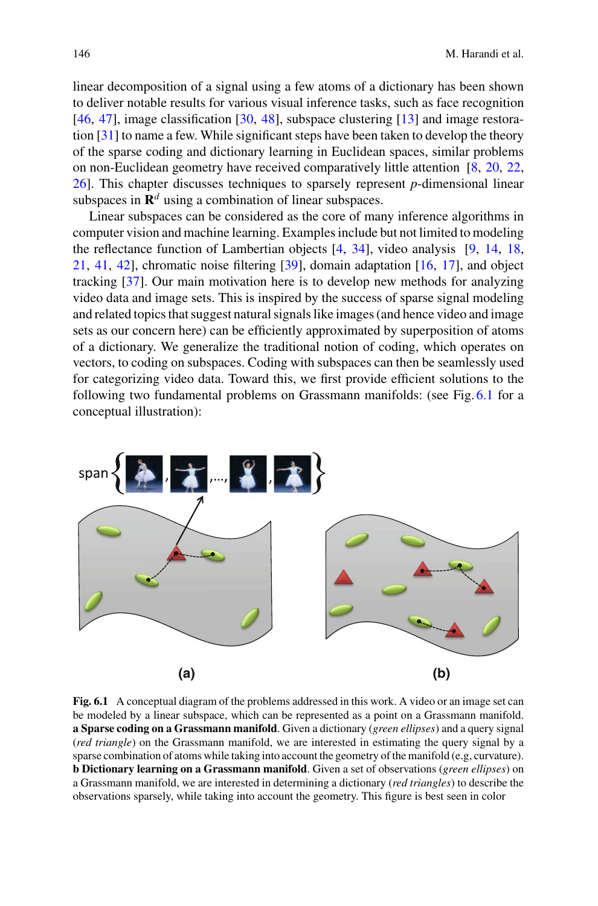linear decomposition of a signal using a few atoms of a dictionary has been shown to deliver notable results for various visual inference tasks, such as face recognition [\[46,](#page-27-1) [47\]](#page-27-2), image classification [\[30](#page-26-1), [48](#page-27-3)], subspace clustering [\[13\]](#page-26-2) and image restoration [\[31](#page-26-3)] to name a few. While significant steps have been taken to develop the theory of the sparse coding and dictionary learning in Euclidean spaces, similar problems on non-Euclidean geometry have received comparatively little attention [\[8](#page-25-2), [20](#page-26-4), [22,](#page-26-5) [26\]](#page-26-6). This chapter discusses techniques to sparsely represent *p*-dimensional linear subspaces in  $\mathbb{R}^d$  using a combination of linear subspaces.

Linear subspaces can be considered as the core of many inference algorithms in computer vision and machine learning. Examples include but not limited to modeling the reflectance function of Lambertian objects [\[4](#page-25-3), [34\]](#page-27-4), video analysis [\[9,](#page-25-4) [14](#page-26-7), [18,](#page-26-8) [21,](#page-26-9) [41,](#page-27-5) [42\]](#page-27-6), chromatic noise filtering [\[39](#page-27-7)], domain adaptation [\[16,](#page-26-10) [17\]](#page-26-11), and object tracking [\[37\]](#page-27-8). Our main motivation here is to develop new methods for analyzing video data and image sets. This is inspired by the success of sparse signal modeling and related topics that suggest natural signals like images (and hence video and image sets as our concern here) can be efficiently approximated by superposition of atoms of a dictionary. We generalize the traditional notion of coding, which operates on vectors, to coding on subspaces. Coding with subspaces can then be seamlessly used for categorizing video data. Toward this, we first provide efficient solutions to the following two fundamental problems on Grassmann manifolds: (see Fig. [6.1](#page-1-0) for a conceptual illustration):



<span id="page-1-0"></span>**Fig. 6.1** A conceptual diagram of the problems addressed in this work. A video or an image set can be modeled by a linear subspace, which can be represented as a point on a Grassmann manifold. **a Sparse coding on a Grassmann manifold**. Given a dictionary (*green ellipses*) and a query signal (*red triangle*) on the Grassmann manifold, we are interested in estimating the query signal by a sparse combination of atoms while taking into account the geometry of the manifold (e.g, curvature). **b Dictionary learning on a Grassmann manifold**. Given a set of observations (*green ellipses*) on a Grassmann manifold, we are interested in determining a dictionary (*red triangles*) to describe the observations sparsely, while taking into account the geometry. This figure is best seen in color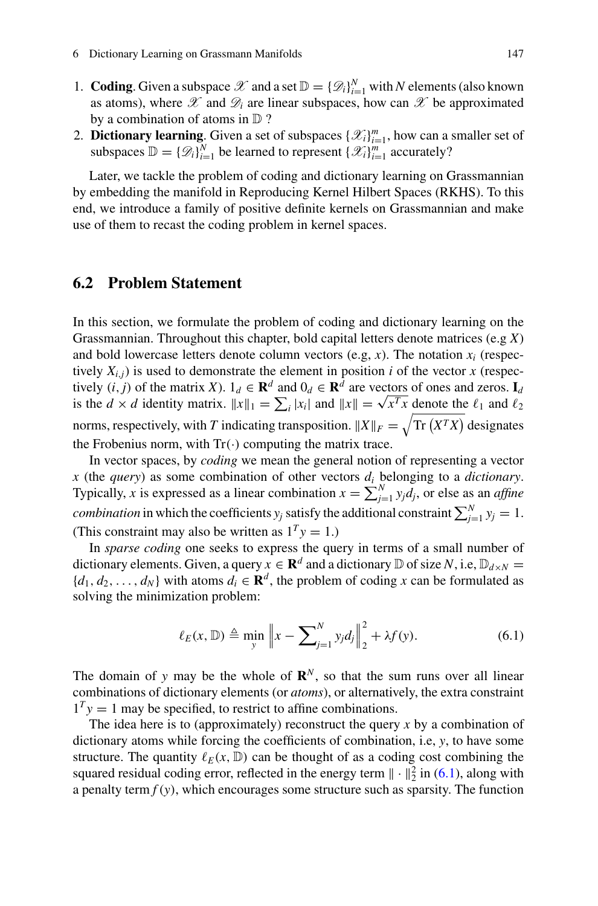- 1. **Coding**. Given a subspace  $\mathcal{X}$  and a set  $\mathbb{D} = {\{\mathcal{D}_i\}}_{i=1}^N$  with *N* elements (also known as atoms), where  $\mathscr X$  and  $\mathscr D_i$  are linear subspaces, how can  $\mathscr X$  be approximated by a combination of atoms in D ?
- 2. **Dictionary learning**. Given a set of subspaces  $\{\mathcal{X}_i\}_{i=1}^m$ , how can a smaller set of subspaces  $\mathbb{D} = \{ \mathscr{D}_i \}_{i=1}^N$  be learned to represent  $\{ \mathscr{X}_i \}_{i=1}^m$  accurately?

Later, we tackle the problem of coding and dictionary learning on Grassmannian by embedding the manifold in Reproducing Kernel Hilbert Spaces (RKHS). To this end, we introduce a family of positive definite kernels on Grassmannian and make use of them to recast the coding problem in kernel spaces.

# **6.2 Problem Statement**

In this section, we formulate the problem of coding and dictionary learning on the Grassmannian. Throughout this chapter, bold capital letters denote matrices (e.g *X*) and bold lowercase letters denote column vectors  $(e.g., x)$ . The notation  $x_i$  (respectively  $X_{i,j}$ ) is used to demonstrate the element in position *i* of the vector *x* (respectively  $(i, j)$  of the matrix *X*).  $1_d \in \mathbb{R}^d$  and  $0_d \in \mathbb{R}^d$  are vectors of ones and zeros.  $I_d$ is the  $d \times d$  identity matrix.  $||x||_1 = \sum_i |x_i|$  and  $||x|| = \sqrt{x^T x}$  denote the  $\ell_1$  and  $\ell_2$ norms, respectively, with *T* indicating transposition.  $||X||_F = \sqrt{\text{Tr}(X^T X)}$  designates the Frobenius norm, with  $Tr(\cdot)$  computing the matrix trace.

In vector spaces, by *coding* we mean the general notion of representing a vector *x* (the *query*) as some combination of other vectors *di* belonging to a *dictionary*. Typically, *x* is expressed as a linear combination  $x = \sum_{j=1}^{N} y_j d_j$ , or else as an *affine combination* in which the coefficients  $y_j$  satisfy the additional constraint  $\sum_{j=1}^{N} y_j = 1$ . (This constraint may also be written as  $1<sup>T</sup>y = 1$ .)

In *sparse coding* one seeks to express the query in terms of a small number of dictionary elements. Given, a query  $x \in \mathbb{R}^d$  and a dictionary  $\mathbb D$  of size *N*, i.e,  $\mathbb D_{d \times N} =$  ${d_1, d_2, \ldots, d_N}$  with atoms  $d_i \in \mathbf{R}^d$ , the problem of coding *x* can be formulated as solving the minimization problem:

$$
\ell_E(x, \mathbb{D}) \triangleq \min_{y} \left\| x - \sum_{j=1}^{N} y_j d_j \right\|_2^2 + \lambda f(y). \tag{6.1}
$$

<span id="page-2-0"></span>The domain of *y* may be the whole of  $\mathbb{R}^N$ , so that the sum runs over all linear combinations of dictionary elements (or *atoms*), or alternatively, the extra constraint  $1<sup>T</sup>y = 1$  may be specified, to restrict to affine combinations.

The idea here is to (approximately) reconstruct the query *x* by a combination of dictionary atoms while forcing the coefficients of combination, i.e, *y*, to have some structure. The quantity  $\ell_E(x, \mathbb{D})$  can be thought of as a coding cost combining the squared residual coding error, reflected in the energy term  $\|\cdot\|_2^2$  in [\(6.1\)](#page-2-0), along with a penalty term  $f(y)$ , which encourages some structure such as sparsity. The function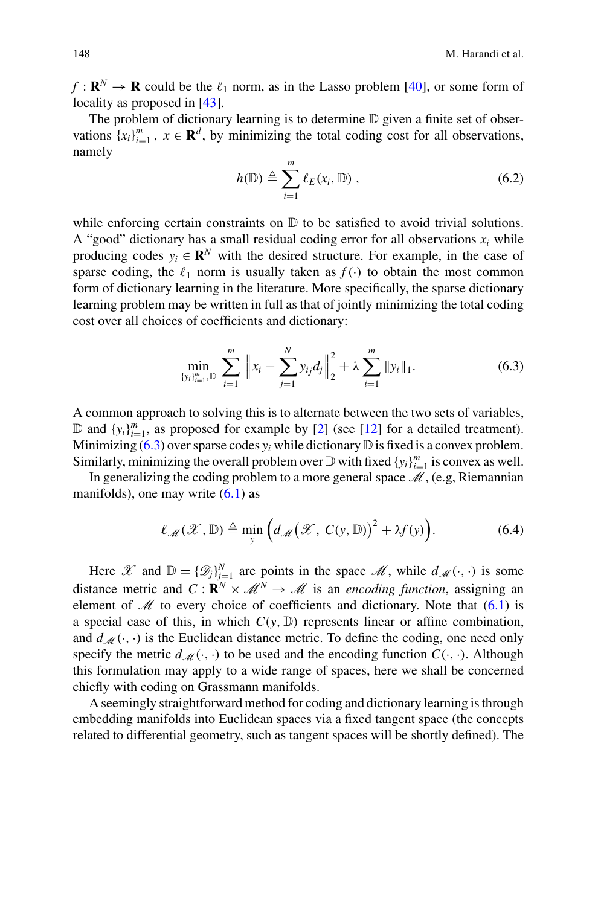$f: \mathbf{R}^N \to \mathbf{R}$  could be the  $\ell_1$  norm, as in the Lasso problem [\[40](#page-27-9)], or some form of locality as proposed in [\[43](#page-27-10)].

The problem of dictionary learning is to determine D given a finite set of observations  $\{x_i\}_{i=1}^m$ ,  $x \in \mathbf{R}^d$ , by minimizing the total coding cost for all observations, namely

$$
h(\mathbb{D}) \triangleq \sum_{i=1}^{m} \ell_{E}(x_i, \mathbb{D}), \qquad (6.2)
$$

while enforcing certain constraints on  $D$  to be satisfied to avoid trivial solutions. A "good" dictionary has a small residual coding error for all observations  $x_i$  while producing codes  $y_i \in \mathbb{R}^N$  with the desired structure. For example, in the case of sparse coding, the  $\ell_1$  norm is usually taken as  $f(\cdot)$  to obtain the most common form of dictionary learning in the literature. More specifically, the sparse dictionary learning problem may be written in full as that of jointly minimizing the total coding cost over all choices of coefficients and dictionary:

$$
\min_{\{y_i\}_{i=1}^m, \mathbb{D}} \sum_{i=1}^m \left\|x_i - \sum_{j=1}^N y_{ij} d_j\right\|_2^2 + \lambda \sum_{i=1}^m \|y_i\|_1.
$$
 (6.3)

<span id="page-3-0"></span>A common approach to solving this is to alternate between the two sets of variables,  $\mathbb{D}$  and  $\{y_i\}_{i=1}^m$ , as proposed for example by [\[2](#page-25-5)] (see [\[12\]](#page-26-0) for a detailed treatment). Minimizing  $(6.3)$  over sparse codes  $y_i$  while dictionary  $\mathbb D$  is fixed is a convex problem. Similarly, minimizing the overall problem over  $\mathbb{D}$  with fixed  $\{y_i\}_{i=1}^m$  is convex as well.

<span id="page-3-1"></span>In generalizing the coding problem to a more general space *M*, (e.g, Riemannian manifolds), one may write  $(6.1)$  as

$$
\ell_{\mathscr{M}}(\mathscr{X},\mathbb{D})\triangleq\min_{y}\Big(d_{\mathscr{M}}(\mathscr{X},\,C(y,\mathbb{D}))^{2}+\lambda f(y)\Big).
$$
 (6.4)

Here  $\mathscr X$  and  $\mathbb D = {\{\mathscr D_j\}}_{j=1}^N$  are points in the space  $\mathscr M$ , while  $d_{\mathscr M}(\cdot, \cdot)$  is some distance metric and  $C : \mathbf{R}^N \times \mathcal{M}^N \to \mathcal{M}$  is an *encoding function*, assigning an element of  $\mathcal M$  to every choice of coefficients and dictionary. Note that  $(6.1)$  is a special case of this, in which  $C(y, D)$  represents linear or affine combination, and  $d_M(\cdot, \cdot)$  is the Euclidean distance metric. To define the coding, one need only specify the metric  $d_M(\cdot, \cdot)$  to be used and the encoding function  $C(\cdot, \cdot)$ . Although this formulation may apply to a wide range of spaces, here we shall be concerned chiefly with coding on Grassmann manifolds.

A seemingly straightforward method for coding and dictionary learning is through embedding manifolds into Euclidean spaces via a fixed tangent space (the concepts related to differential geometry, such as tangent spaces will be shortly defined). The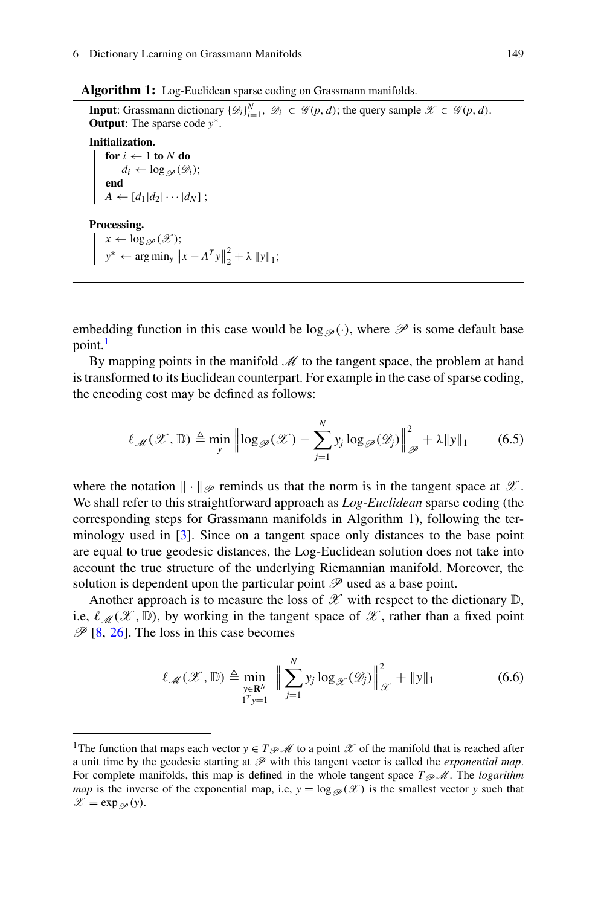**Algorithm 1:** Log-Euclidean sparse coding on Grassmann manifolds.

**Input**: Grassmann dictionary  $\{\mathcal{D}_i\}_{i=1}^N$ ,  $\mathcal{D}_i \in \mathcal{G}(p, d)$ ; the query sample  $\mathcal{X} \in \mathcal{G}(p, d)$ . **Output**: The sparse code *y*∗. **Initialization. for**  $i \leftarrow 1$  **to**  $N$  **do**  $\left| d_i \leftarrow \log_{\mathscr{P}}(\mathscr{D}_i);$ **end**  $A \leftarrow [d_1|d_2|\cdots|d_N]$ ; **Processing.**  $x \leftarrow \log_{\mathscr{P}}(\mathscr{X});$  $y^* \leftarrow \arg \min_y \|x - A^T y\|_2^2 + \lambda \|y\|_1;$ 

embedding function in this case would be  $\log_{\varphi}(\cdot)$ , where  $\mathscr P$  is some default base point.<sup>[1](#page-4-0)</sup>

By mapping points in the manifold  $\mathcal M$  to the tangent space, the problem at hand is transformed to its Euclidean counterpart. For example in the case of sparse coding, the encoding cost may be defined as follows:

$$
\ell_{\mathscr{M}}(\mathscr{X}, \mathbb{D}) \triangleq \min_{y} \left\| \log_{\mathscr{P}}(\mathscr{X}) - \sum_{j=1}^{N} y_{j} \log_{\mathscr{P}}(\mathscr{D}_{j}) \right\|_{\mathscr{P}}^{2} + \lambda \|y\|_{1}
$$
(6.5)

where the notation  $\|\cdot\|_{\mathscr{P}}$  reminds us that the norm is in the tangent space at  $\mathscr{X}$ . We shall refer to this straightforward approach as *Log-Euclidean* sparse coding (the corresponding steps for Grassmann manifolds in Algorithm 1), following the terminology used in [\[3](#page-25-6)]. Since on a tangent space only distances to the base point are equal to true geodesic distances, the Log-Euclidean solution does not take into account the true structure of the underlying Riemannian manifold. Moreover, the solution is dependent upon the particular point  $\mathscr P$  used as a base point.

Another approach is to measure the loss of  $\mathscr X$  with respect to the dictionary  $\mathbb D$ , i.e,  $\ell_{\mathcal{M}}(\mathcal{X}, \mathbb{D})$ , by working in the tangent space of  $\mathcal{X}$ , rather than a fixed point  $\mathscr{P}$  [\[8](#page-25-2), [26\]](#page-26-6). The loss in this case becomes

<span id="page-4-1"></span>
$$
\ell_{\mathscr{M}}(\mathscr{X}, \mathbb{D}) \triangleq \min_{\substack{y \in \mathbf{R}^N \\ 1^T y = 1}} \left\| \sum_{j=1}^N y_j \log_{\mathscr{X}}(\mathscr{D}_j) \right\|_{\mathscr{X}}^2 + \|y\|_1
$$
 (6.6)

<span id="page-4-0"></span><sup>&</sup>lt;sup>1</sup>The function that maps each vector  $y \in T_{\mathscr{P}}$  *M* to a point  $\mathscr X$  of the manifold that is reached after a unit time by the geodesic starting at *P* with this tangent vector is called the *exponential map*. For complete manifolds, this map is defined in the whole tangent space  $T_{\mathcal{P}}\mathcal{M}$ . The *logarithm map* is the inverse of the exponential map, i.e,  $y = \log_{\mathscr{P}}(\mathscr{X})$  is the smallest vector *y* such that  $\mathscr{X} = \exp_{\mathscr{P}}(y)$ .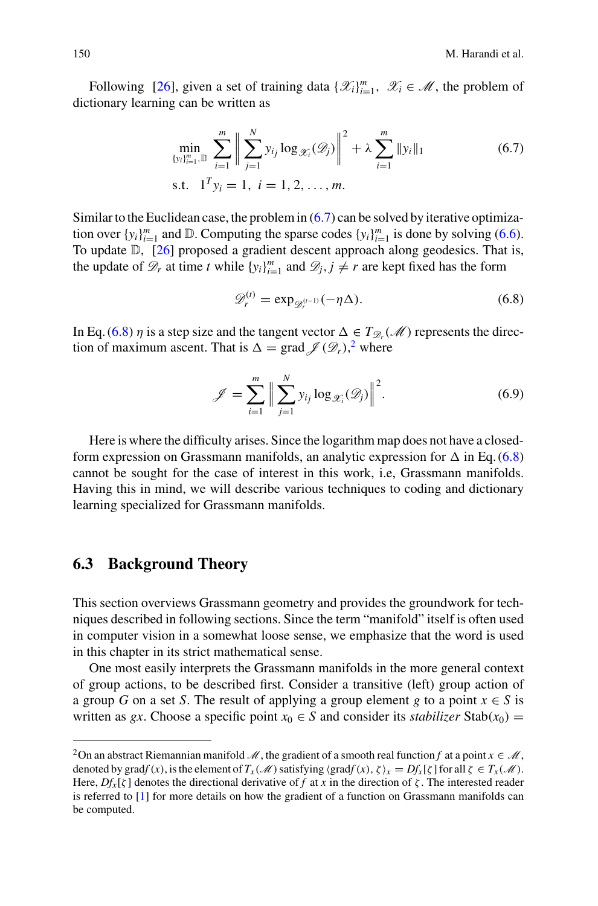Following [\[26](#page-26-6)], given a set of training data  $\{\mathcal{X}_i\}_{i=1}^m$ ,  $\mathcal{X}_i \in \mathcal{M}$ , the problem of dictionary learning can be written as

<span id="page-5-0"></span>
$$
\min_{\{y_i\}_{i=1}^m, \mathbb{D}} \sum_{i=1}^m \left\| \sum_{j=1}^N y_{ij} \log_{\mathscr{X}_i}(\mathscr{D}_j) \right\|^2 + \lambda \sum_{i=1}^m \|y_i\|_1
$$
\n5.t.

\n
$$
1^T y_i = 1, \quad i = 1, 2, \ldots, m.
$$
\n(6.7)

Similar to the Euclidean case, the problem in  $(6.7)$  can be solved by iterative optimization over  $\{y_i\}_{i=1}^m$  and  $\mathbb{D}$ . Computing the sparse codes  $\{y_i\}_{i=1}^m$  is done by solving [\(6.6\)](#page-4-1). To update D, [\[26](#page-26-6)] proposed a gradient descent approach along geodesics. That is, the update of  $\mathcal{D}_r$  at time *t* while  $\{y_i\}_{i=1}^m$  and  $\mathcal{D}_j$ ,  $j \neq r$  are kept fixed has the form

$$
\mathscr{D}_r^{(t)} = \exp_{\mathscr{D}_r^{(t-1)}}(-\eta \Delta). \tag{6.8}
$$

<span id="page-5-1"></span>In Eq. [\(6.8\)](#page-5-1)  $\eta$  is a step size and the tangent vector  $\Delta \in T_{\mathscr{D}_r}(\mathscr{M})$  represents the direction of maximum ascent. That is  $\Delta = \text{grad } \mathcal{J}(\mathcal{D}_r)$ , where

$$
\mathscr{J} = \sum_{i=1}^{m} \Big\| \sum_{j=1}^{N} y_{ij} \log_{\mathscr{X}_i}(\mathscr{D}_j) \Big\|^2.
$$
 (6.9)

Here is where the difficulty arises. Since the logarithm map does not have a closedform expression on Grassmann manifolds, an analytic expression for  $\Delta$  in Eq. [\(6.8\)](#page-5-1) cannot be sought for the case of interest in this work, i.e, Grassmann manifolds. Having this in mind, we will describe various techniques to coding and dictionary learning specialized for Grassmann manifolds.

# **6.3 Background Theory**

This section overviews Grassmann geometry and provides the groundwork for techniques described in following sections. Since the term "manifold" itself is often used in computer vision in a somewhat loose sense, we emphasize that the word is used in this chapter in its strict mathematical sense.

One most easily interprets the Grassmann manifolds in the more general context of group actions, to be described first. Consider a transitive (left) group action of a group *G* on a set *S*. The result of applying a group element *g* to a point  $x \in S$  is written as *gx*. Choose a specific point  $x_0 \in S$  and consider its *stabilizer* Stab( $x_0$ ) =

<span id="page-5-2"></span><sup>&</sup>lt;sup>2</sup>On an abstract Riemannian manifold *M*, the gradient of a smooth real function *f* at a point  $x \in M$ , denoted by grad $f(x)$ , is the element of  $T_x(\mathcal{M})$  satisfying  $\langle \text{grad} f(x), \zeta \rangle_x = Df_x[\zeta]$  for all  $\zeta \in T_x(\mathcal{M})$ . Here,  $Df_x[\zeta]$  denotes the directional derivative of *f* at *x* in the direction of  $\zeta$ . The interested reader is referred to [\[1\]](#page-25-7) for more details on how the gradient of a function on Grassmann manifolds can be computed.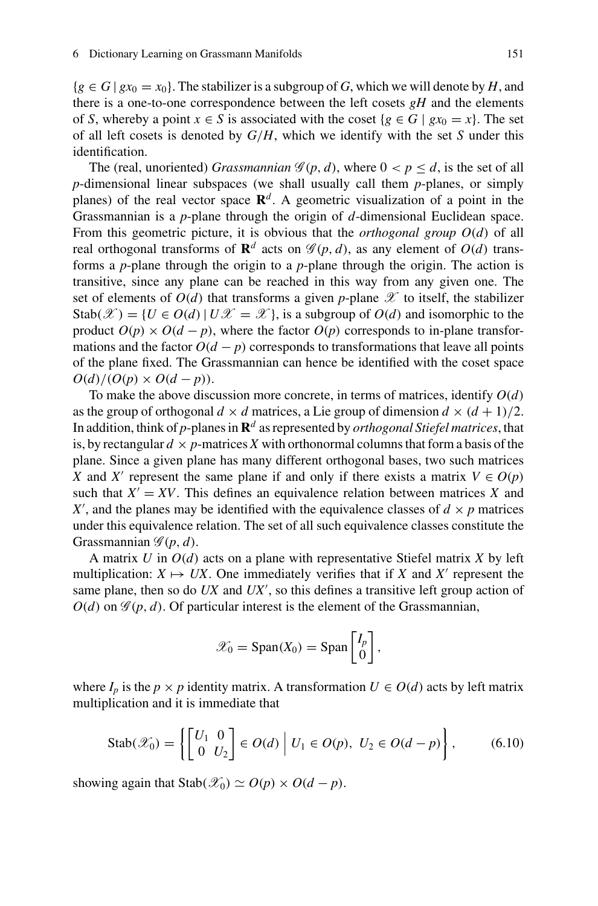${g \in G \mid gx_0 = x_0}$ . The stabilizer is a subgroup of *G*, which we will denote by *H*, and there is a one-to-one correspondence between the left cosets *gH* and the elements of *S*, whereby a point  $x \in S$  is associated with the coset  $\{g \in G \mid gx_0 = x\}$ . The set of all left cosets is denoted by *G*/*H*, which we identify with the set *S* under this identification.

The (real, unoriented) *Grassmannian*  $\mathcal{G}(p, d)$ , where  $0 < p \leq d$ , is the set of all *p*-dimensional linear subspaces (we shall usually call them *p*-planes, or simply planes) of the real vector space  $\mathbb{R}^d$ . A geometric visualization of a point in the Grassmannian is a *p*-plane through the origin of *d*-dimensional Euclidean space. From this geometric picture, it is obvious that the *orthogonal group O*(*d*) of all real orthogonal transforms of  $\mathbf{R}^d$  acts on  $\mathcal{G}(p, d)$ , as any element of  $O(d)$  transforms a *p*-plane through the origin to a *p*-plane through the origin. The action is transitive, since any plane can be reached in this way from any given one. The set of elements of  $O(d)$  that transforms a given *p*-plane  $\mathscr X$  to itself, the stabilizer Stab $(\mathcal{X}) = \{U \in O(d) | U\mathcal{X} = \mathcal{X}\}\$ , is a subgroup of  $O(d)$  and isomorphic to the product  $O(p) \times O(d - p)$ , where the factor  $O(p)$  corresponds to in-plane transformations and the factor  $O(d - p)$  corresponds to transformations that leave all points of the plane fixed. The Grassmannian can hence be identified with the coset space  $O(d)/(O(p) \times O(d-p)).$ 

To make the above discussion more concrete, in terms of matrices, identify *O*(*d*) as the group of orthogonal  $d \times d$  matrices, a Lie group of dimension  $d \times (d + 1)/2$ . In addition, think of *p*-planes in **R***<sup>d</sup>* as represented by *orthogonal Stiefel matrices*, that is, by rectangular  $d \times p$ -matrices X with orthonormal columns that form a basis of the plane. Since a given plane has many different orthogonal bases, two such matrices *X* and *X'* represent the same plane if and only if there exists a matrix  $V \in O(p)$ such that  $X' = XY$ . This defines an equivalence relation between matrices X and X', and the planes may be identified with the equivalence classes of  $d \times p$  matrices under this equivalence relation. The set of all such equivalence classes constitute the Grassmannian  $\mathscr{G}(p, d)$ .

A matrix *U* in *O*(*d*) acts on a plane with representative Stiefel matrix *X* by left multiplication:  $X \mapsto UX$ . One immediately verifies that if *X* and *X'* represent the same plane, then so do *UX* and *UX* , so this defines a transitive left group action of  $O(d)$  on  $\mathscr{G}(p, d)$ . Of particular interest is the element of the Grassmannian,

$$
\mathscr{X}_0 = \text{Span}(X_0) = \text{Span}\begin{bmatrix} I_p \\ 0 \end{bmatrix},
$$

<span id="page-6-0"></span>where  $I_p$  is the  $p \times p$  identity matrix. A transformation  $U \in O(d)$  acts by left matrix multiplication and it is immediate that

$$
\text{Stab}(\mathscr{X}_0) = \left\{ \begin{bmatrix} U_1 & 0 \\ 0 & U_2 \end{bmatrix} \in O(d) \middle| U_1 \in O(p), \ U_2 \in O(d-p) \right\},\tag{6.10}
$$

showing again that  $\text{Stab}(\mathscr{X}_0) \simeq O(p) \times O(d-p)$ .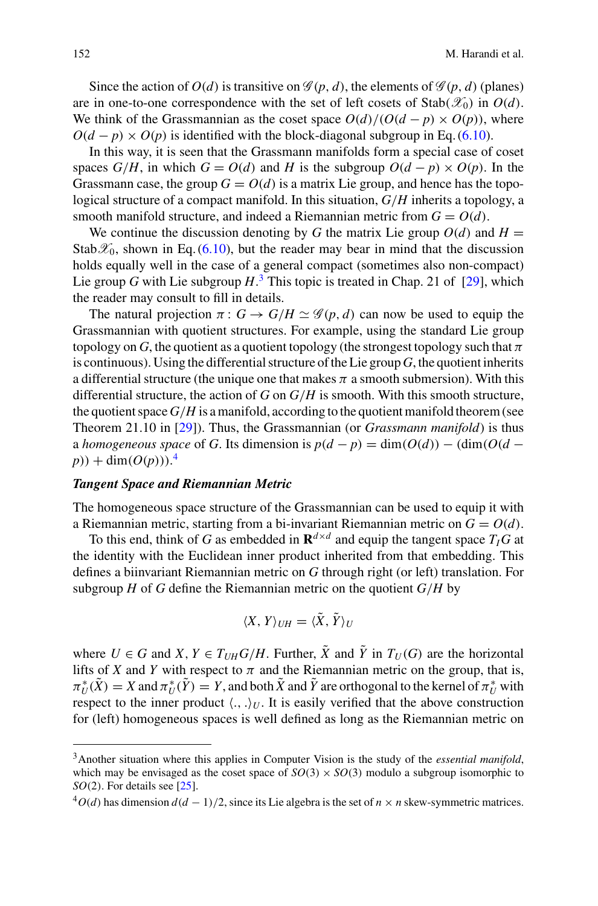Since the action of  $O(d)$  is transitive on  $\mathcal{G}(p, d)$ , the elements of  $\mathcal{G}(p, d)$  (planes) are in one-to-one correspondence with the set of left cosets of  $Stab(\mathscr{X}_0)$  in  $O(d)$ . We think of the Grassmannian as the coset space  $O(d)/(O(d - p) \times O(p))$ , where  $O(d - p) \times O(p)$  is identified with the block-diagonal subgroup in Eq. [\(6.10\)](#page-6-0).

In this way, it is seen that the Grassmann manifolds form a special case of coset spaces  $G/H$ , in which  $G = O(d)$  and *H* is the subgroup  $O(d - p) \times O(p)$ . In the Grassmann case, the group  $G = O(d)$  is a matrix Lie group, and hence has the topological structure of a compact manifold. In this situation, *G*/*H* inherits a topology, a smooth manifold structure, and indeed a Riemannian metric from  $G = O(d)$ .

We continue the discussion denoting by *G* the matrix Lie group  $O(d)$  and  $H =$ Stab $\mathscr{X}_0$ , shown in Eq. [\(6.10\)](#page-6-0), but the reader may bear in mind that the discussion holds equally well in the case of a general compact (sometimes also non-compact) Lie group *G* with Lie subgroup *H*. [3](#page-7-0) This topic is treated in Chap. 21 of [\[29\]](#page-26-12), which the reader may consult to fill in details.

The natural projection  $\pi: G \to G/H \simeq \mathscr{G}(p,d)$  can now be used to equip the Grassmannian with quotient structures. For example, using the standard Lie group topology on *G*, the quotient as a quotient topology (the strongest topology such that  $\pi$ is continuous). Using the differential structure of the Lie group *G*, the quotient inherits a differential structure (the unique one that makes  $\pi$  a smooth submersion). With this differential structure, the action of *G* on *G*/*H* is smooth. With this smooth structure, the quotient space  $G/H$  is a manifold, according to the quotient manifold theorem (see Theorem 21.10 in [\[29\]](#page-26-12)). Thus, the Grassmannian (or *Grassmann manifold*) is thus a *homogeneous space* of *G*. Its dimension is  $p(d - p) = \dim(O(d)) - (\dim(O(d - p)))$  $p)$  + dim( $O(p)$ )).<sup>[4](#page-7-1)</sup>

### *Tangent Space and Riemannian Metric*

The homogeneous space structure of the Grassmannian can be used to equip it with a Riemannian metric, starting from a bi-invariant Riemannian metric on  $G = O(d)$ .

To this end, think of *G* as embedded in  $\mathbb{R}^{d \times d}$  and equip the tangent space  $T_I G$  at the identity with the Euclidean inner product inherited from that embedding. This defines a biinvariant Riemannian metric on *G* through right (or left) translation. For subgroup  $H$  of  $G$  define the Riemannian metric on the quotient  $G/H$  by

$$
\langle X, Y \rangle_{UH} = \langle \tilde{X}, \tilde{Y} \rangle_U
$$

where  $U \in G$  and  $X, Y \in T_{UH}G/H$ . Further,  $\tilde{X}$  and  $\tilde{Y}$  in  $T_U(G)$  are the horizontal lifts of *X* and *Y* with respect to  $\pi$  and the Riemannian metric on the group, that is,  $\pi_U^*(X) = X$  and  $\pi_U^*(Y) = Y$ , and both *X* and *Y* are orthogonal to the kernel of  $\pi_U^*$  with respect to the inner product  $\langle ., . \rangle_U$ . It is easily verified that the above construction for (left) homogeneous spaces is well defined as long as the Riemannian metric on

<span id="page-7-0"></span><sup>3</sup>Another situation where this applies in Computer Vision is the study of the *essential manifold*, which may be envisaged as the coset space of  $SO(3) \times SO(3)$  modulo a subgroup isomorphic to *SO*(2). For details see [\[25](#page-26-13)].

<span id="page-7-1"></span> $^{4}O(d)$  has dimension  $d(d-1)/2$ , since its Lie algebra is the set of  $n \times n$  skew-symmetric matrices.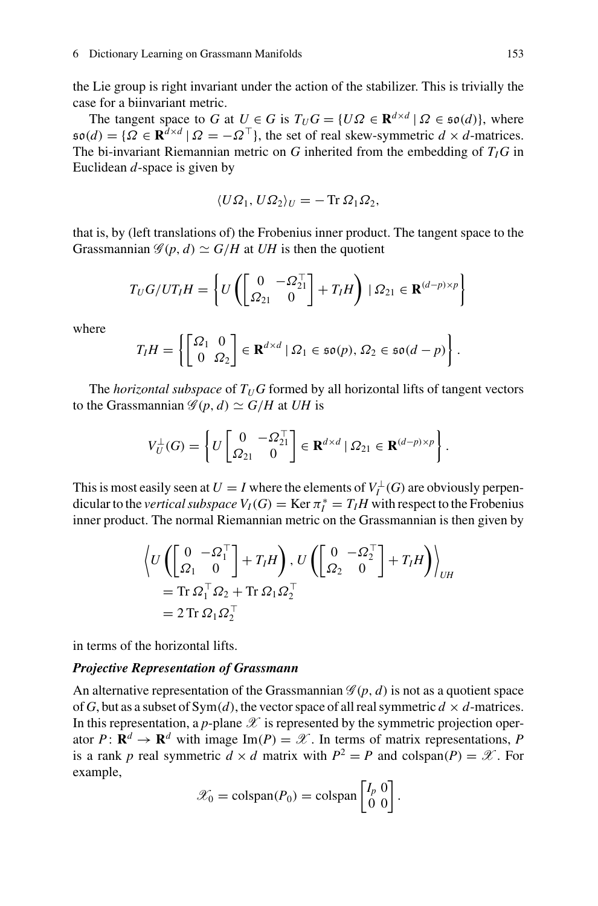the Lie group is right invariant under the action of the stabilizer. This is trivially the case for a biinvariant metric.

The tangent space to *G* at  $U \in G$  is  $T_U G = \{ U \Omega \in \mathbb{R}^{d \times d} \mid \Omega \in \mathfrak{so}(d) \}$ , where  $\mathfrak{so}(d) = \{ \Omega \in \mathbf{R}^{d \times d} \mid \Omega = -\Omega^{\top} \}$ , the set of real skew-symmetric  $d \times d$ -matrices. The bi-invariant Riemannian metric on  $G$  inherited from the embedding of  $T_I$  $G$  in Euclidean *d*-space is given by

$$
\langle U\Omega_1, U\Omega_2\rangle_U = -\operatorname{Tr}\Omega_1\Omega_2,
$$

that is, by (left translations of) the Frobenius inner product. The tangent space to the Grassmannian  $\mathscr{G}(p, d) \simeq G/H$  at *UH* is then the quotient

$$
T_U G/UT_I H = \left\{ U \left( \begin{bmatrix} 0 & -\Omega_{21}^\top \\ \Omega_{21} & 0 \end{bmatrix} + T_I H \right) \mid \Omega_{21} \in \mathbf{R}^{(d-p)\times p} \right\}
$$

where

$$
T_I H = \left\{ \begin{bmatrix} \Omega_1 & 0 \\ 0 & \Omega_2 \end{bmatrix} \in \mathbf{R}^{d \times d} \mid \Omega_1 \in \mathfrak{so}(p), \Omega_2 \in \mathfrak{so}(d-p) \right\}.
$$

The *horizontal subspace* of  $T_U G$  formed by all horizontal lifts of tangent vectors to the Grassmannian  $\mathscr{G}(p, d) \simeq G/H$  at *UH* is

$$
V_U^{\perp}(G) = \left\{ U \begin{bmatrix} 0 & -\Omega_{21}^{\top} \\ \Omega_{21} & 0 \end{bmatrix} \in \mathbf{R}^{d \times d} \mid \Omega_{21} \in \mathbf{R}^{(d-p) \times p} \right\}.
$$

This is most easily seen at  $U = I$  where the elements of  $V_I^{\perp}(G)$  are obviously perpendicular to the *vertical subspace*  $V_I(G) = \text{Ker } \pi_I^* = T_I H$  with respect to the Frobenius inner product. The normal Riemannian metric on the Grassmannian is then given by

$$
\left\langle U\left(\begin{bmatrix} 0 & -\Omega_1^\top \\ \Omega_1 & 0 \end{bmatrix} + T_I H\right), U\left(\begin{bmatrix} 0 & -\Omega_2^\top \\ \Omega_2 & 0 \end{bmatrix} + T_I H\right)\right\rangle_{UH}
$$
  
= Tr  $\Omega_1^\top \Omega_2 +$  Tr  $\Omega_1 \Omega_2^\top$   
= 2 Tr  $\Omega_1 \Omega_2^\top$ 

in terms of the horizontal lifts.

#### *Projective Representation of Grassmann*

An alternative representation of the Grassmannian  $\mathscr{G}(p, d)$  is not as a quotient space of *G*, but as a subset of  $Sym(d)$ , the vector space of all real symmetric  $d \times d$ -matrices. In this representation, a *p*-plane  $\mathscr X$  is represented by the symmetric projection operator  $P: \mathbb{R}^d \to \mathbb{R}^d$  with image Im(P) =  $\mathcal{X}$ . In terms of matrix representations, P is a rank *p* real symmetric  $d \times d$  matrix with  $P^2 = P$  and colspan(*P*) = *X*. For example,

$$
\mathscr{X}_0 = \text{colspan}(P_0) = \text{colspan}\begin{bmatrix} I_p & 0 \\ 0 & 0 \end{bmatrix}.
$$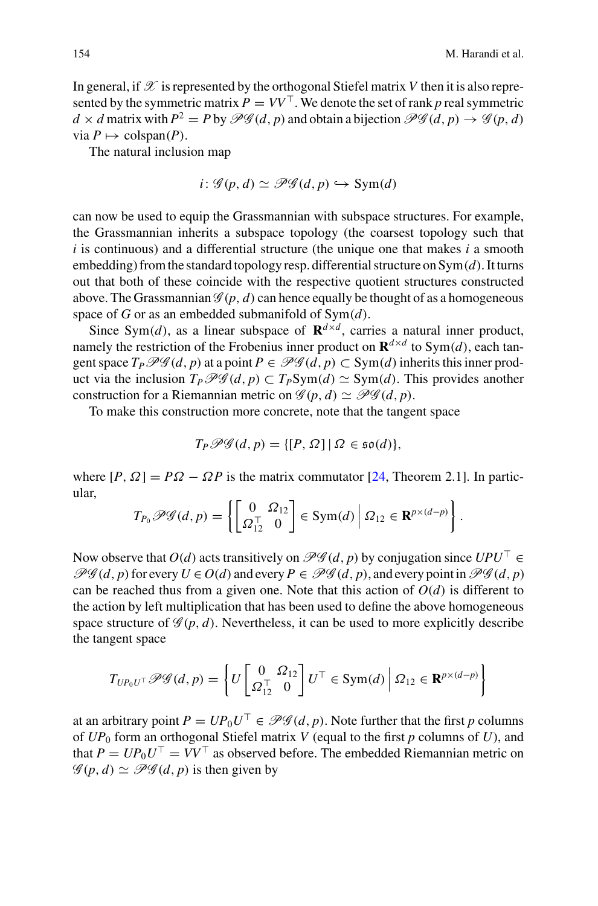In general, if  $\mathscr X$  is represented by the orthogonal Stiefel matrix *V* then it is also represented by the symmetric matrix  $P = VV^{\top}$ . We denote the set of rank *p* real symmetric  $d \times d$  matrix with  $P^2 = P$  by  $\mathscr{P}\mathscr{G}(d, p)$  and obtain a bijection  $\mathscr{P}\mathscr{G}(d, p) \rightarrow \mathscr{G}(p, d)$  $\text{via } P \mapsto \text{colspan}(P)$ .

The natural inclusion map

$$
i: \mathcal{G}(p,d) \simeq \mathcal{PG}(d,p) \hookrightarrow \text{Sym}(d)
$$

can now be used to equip the Grassmannian with subspace structures. For example, the Grassmannian inherits a subspace topology (the coarsest topology such that *i* is continuous) and a differential structure (the unique one that makes *i* a smooth embedding) from the standard topology resp. differential structure on Sym(*d*). It turns out that both of these coincide with the respective quotient structures constructed above. The Grassmannian  $\mathcal{G}(p, d)$  can hence equally be thought of as a homogeneous space of *G* or as an embedded submanifold of Sym(*d*).

Since Sym(*d*), as a linear subspace of  $\mathbf{R}^{d \times d}$ , carries a natural inner product, namely the restriction of the Frobenius inner product on  $\mathbf{R}^{d \times d}$  to Sym(*d*), each tangent space  $T_P$   $\mathscr{PG}(d, p)$  at a point  $P \in \mathscr{PG}(d, p) \subset \text{Sym}(d)$  inherits this inner product via the inclusion  $T_P \mathcal{PG}(d, p) \subset T_P \text{Sym}(d) \simeq \text{Sym}(d)$ . This provides another construction for a Riemannian metric on  $\mathcal{G}(p, d) \simeq \mathcal{PG}(d, p)$ .

To make this construction more concrete, note that the tangent space

$$
T_P \mathscr{PG}(d, p) = \{ [P, \Omega] \mid \Omega \in \mathfrak{so}(d) \},
$$

where  $[P, \Omega] = P\Omega - \Omega P$  is the matrix commutator [\[24](#page-26-14), Theorem 2.1]. In particular,

$$
T_{P_0}\mathscr{PG}(d, p) = \left\{ \begin{bmatrix} 0 & \Omega_{12} \\ \Omega_{12}^\top & 0 \end{bmatrix} \in \text{Sym}(d) \middle| \Omega_{12} \in \mathbf{R}^{p \times (d-p)} \right\}.
$$

Now observe that  $O(d)$  acts transitively on  $\mathscr{P}\mathscr{G}(d, p)$  by conjugation since  $UPU^{\top} \in$  $\mathscr{P}\mathscr{G}(d, p)$  for every  $U \in O(d)$  and every  $P \in \mathscr{P}\mathscr{G}(d, p)$ , and every point in  $\mathscr{P}\mathscr{G}(d, p)$ can be reached thus from a given one. Note that this action of  $O(d)$  is different to the action by left multiplication that has been used to define the above homogeneous space structure of  $\mathscr{G}(p, d)$ . Nevertheless, it can be used to more explicitly describe the tangent space

$$
T_{UP_0U^{\top}}\mathscr{P}\mathscr{G}(d,p) = \left\{U\begin{bmatrix}0 & \Omega_{12} \\ \Omega_{12}^{\top} & 0\end{bmatrix}U^{\top} \in \text{Sym}(d) \middle| \Omega_{12} \in \mathbf{R}^{p \times (d-p)}\right\}
$$

at an arbitrary point  $P = UP_0 U^\top \in \mathcal{PG}(d, p)$ . Note further that the first *p* columns of  $UP_0$  form an orthogonal Stiefel matrix *V* (equal to the first *p* columns of *U*), and that  $P = UP_0 U^\top = V V^\top$  as observed before. The embedded Riemannian metric on  $\mathscr{G}(p, d) \simeq \mathscr{PG}(d, p)$  is then given by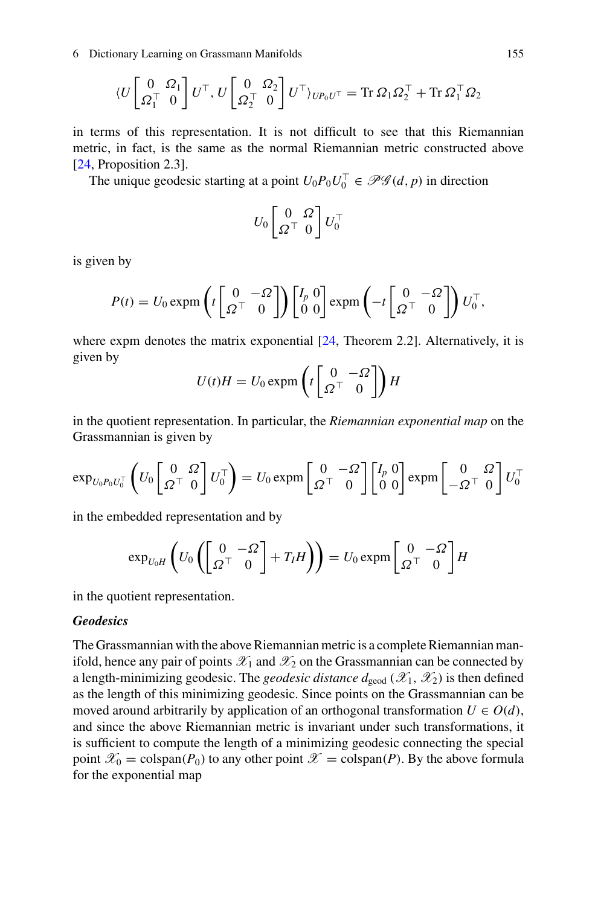6 Dictionary Learning on Grassmann Manifolds 155

$$
\langle U \begin{bmatrix} 0 & \Omega_1 \\ \Omega_1^\top & 0 \end{bmatrix} U^\top, U \begin{bmatrix} 0 & \Omega_2 \\ \Omega_2^\top & 0 \end{bmatrix} U^\top \rangle_{U P_0 U^\top} = \text{Tr} \,\Omega_1 \Omega_2^\top + \text{Tr} \,\Omega_1^\top \Omega_2
$$

in terms of this representation. It is not difficult to see that this Riemannian metric, in fact, is the same as the normal Riemannian metric constructed above [\[24,](#page-26-14) Proposition 2.3].

The unique geodesic starting at a point  $U_0 P_0 U_0^{\perp} \in \mathcal{PG}(d, p)$  in direction

$$
U_0 \begin{bmatrix} 0 & \Omega \\ \Omega^\top & 0 \end{bmatrix} U_0^\top
$$

is given by

$$
P(t) = U_0 \exp \left( t \begin{bmatrix} 0 & -\Omega \\ \Omega^{\top} & 0 \end{bmatrix} \right) \begin{bmatrix} I_p & 0 \\ 0 & 0 \end{bmatrix} \exp \left( -t \begin{bmatrix} 0 & -\Omega \\ \Omega^{\top} & 0 \end{bmatrix} \right) U_0^{\top},
$$

where expm denotes the matrix exponential [\[24,](#page-26-14) Theorem 2.2]. Alternatively, it is given by

$$
U(t)H = U_0 \exp\left(t \begin{bmatrix} 0 & -\Omega \\ \Omega^{\top} & 0 \end{bmatrix}\right) H
$$

in the quotient representation. In particular, the *Riemannian exponential map* on the Grassmannian is given by

$$
\exp_{U_0 P_0 U_0^{\top}} \left( U_0 \begin{bmatrix} 0 & \Omega \\ \Omega^{\top} & 0 \end{bmatrix} U_0^{\top} \right) = U_0 \exp \left[ \begin{bmatrix} 0 & -\Omega \\ \Omega^{\top} & 0 \end{bmatrix} \begin{bmatrix} I_p & 0 \\ 0 & 0 \end{bmatrix} \exp \left[ \begin{bmatrix} 0 & \Omega \\ -\Omega^{\top} & 0 \end{bmatrix} U_0^{\top} \right]
$$

in the embedded representation and by

$$
\exp_{U_0H}\left(U_0\left(\begin{bmatrix}0&-2\\ \Omega^{\top}&0\end{bmatrix}+T_IH\right)\right)=U_0\exp\left[\begin{bmatrix}0&-2\\ \Omega^{\top}&0\end{bmatrix}H\right]
$$

in the quotient representation.

### *Geodesics*

The Grassmannian with the above Riemannian metric is a complete Riemannian manifold, hence any pair of points  $\mathscr{X}_1$  and  $\mathscr{X}_2$  on the Grassmannian can be connected by a length-minimizing geodesic. The *geodesic distance*  $d_{\text{geod}}(\mathscr{X}_1, \mathscr{X}_2)$  is then defined as the length of this minimizing geodesic. Since points on the Grassmannian can be moved around arbitrarily by application of an orthogonal transformation  $U \in O(d)$ , and since the above Riemannian metric is invariant under such transformations, it is sufficient to compute the length of a minimizing geodesic connecting the special point  $\mathscr{X}_0$  = colspan(*P*<sub>0</sub>) to any other point  $\mathscr{X}$  = colspan(*P*). By the above formula for the exponential map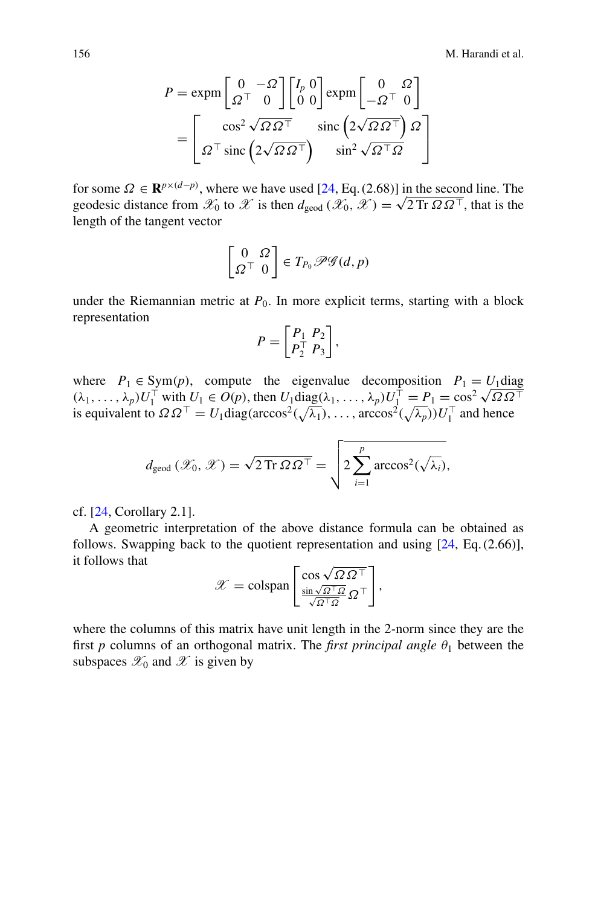$$
P = \exp\left[\frac{0}{\Omega^{\top}} - \frac{\Omega}{0}\right] \begin{bmatrix} I_p & 0 \\ 0 & 0 \end{bmatrix} \exp\left[\frac{0}{-\Omega^{\top}} \frac{\Omega}{0}\right]
$$

$$
= \begin{bmatrix} \cos^2 \sqrt{\Omega \Omega^{\top}} & \text{sinc}\left(2\sqrt{\Omega \Omega^{\top}}\right) \Omega \\ \Omega^{\top} \operatorname{sinc}\left(2\sqrt{\Omega \Omega^{\top}}\right) & \text{sinc}^2 \sqrt{\Omega^{\top} \Omega} \end{bmatrix}
$$

for some  $\Omega \in \mathbf{R}^{p \times (d-p)}$ , where we have used [\[24](#page-26-14), Eq. (2.68)] in the second line. The geodesic distance from  $\mathscr{X}_0$  to  $\mathscr{X}$  is then  $d_{\text{geod}}(\mathscr{X}_0, \mathscr{X}) = \sqrt{2 \text{Tr} \Omega \Omega^{\top}}$ , that is the length of the tangent vector

$$
\begin{bmatrix} 0 & \Omega \\ \Omega^{\top} & 0 \end{bmatrix} \in T_{P_0} \mathscr{P} \mathscr{G} (d, p)
$$

under the Riemannian metric at  $P_0$ . In more explicit terms, starting with a block representation

$$
P = \begin{bmatrix} P_1 & P_2 \\ P_2^\top & P_3 \end{bmatrix},
$$

where  $P_1 \in \text{Sym}(p)$ , compute the eigenvalue decomposition  $P_1 = U_1$ diag ( $\lambda_1, \ldots, \lambda_p$ )  $U_1^{\top}$  with  $U_1 \in O(p)$ , then  $U_1 \text{diag}(\lambda_1, \ldots, \lambda_p) U_1^{\top} = P_1 = \cos^2 \sqrt{\Omega \Omega^{\top}}$ is equivalent to  $\Omega \Omega^{\top} = U_1 \text{diag}(\arccos^2(\sqrt{\lambda_1}), \dots, \arccos^2(\sqrt{\lambda_p})) U_1^{\top}$  and hence

$$
d_{\text{geod}}(\mathscr{X}_0, \mathscr{X}) = \sqrt{2 \operatorname{Tr} \Omega \Omega^{\top}} = \sqrt{2 \sum_{i=1}^p \arccos^2(\sqrt{\lambda_i})},
$$

cf. [\[24,](#page-26-14) Corollary 2.1].

A geometric interpretation of the above distance formula can be obtained as follows. Swapping back to the quotient representation and using [\[24](#page-26-14), Eq. (2.66)], it follows that

$$
\mathcal{X} = \text{colspan}\left[\frac{\cos\sqrt{\Omega\,\Omega^\top}}{\frac{\sin\sqrt{\Omega^\top\Omega}}{\sqrt{\Omega^\top\Omega}}\,\Omega^\top}\right],
$$

where the columns of this matrix have unit length in the 2-norm since they are the first *p* columns of an orthogonal matrix. The *first principal angle*  $\theta_1$  between the subspaces  $\mathscr{X}_0$  and  $\mathscr{X}$  is given by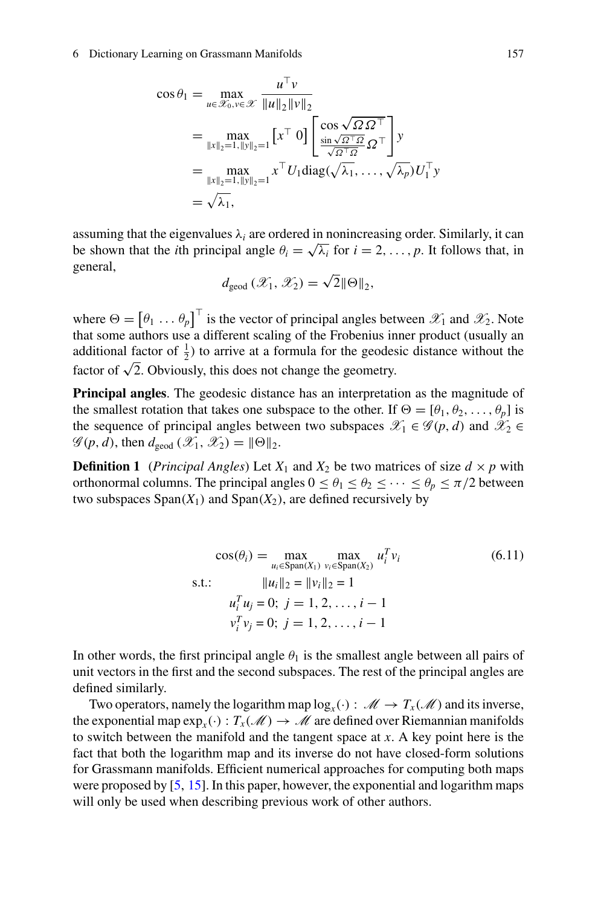#### 6 Dictionary Learning on Grassmann Manifolds 157

$$
\cos \theta_1 = \max_{u \in \mathcal{X}_0, v \in \mathcal{X}} \frac{u^\top v}{\|u\|_2 \|v\|_2}
$$
  
\n
$$
= \max_{\|x\|_2 = 1, \|y\|_2 = 1} \left[x^\top 0\right] \left[\frac{\cos \sqrt{\Omega \Omega^\top}}{\sin \sqrt{\Omega^\top \Omega}} \Omega^\top\right] y
$$
  
\n
$$
= \max_{\|x\|_2 = 1, \|y\|_2 = 1} x^\top U_1 \text{diag}(\sqrt{\lambda_1}, \dots, \sqrt{\lambda_p}) U_1^\top y
$$
  
\n
$$
= \sqrt{\lambda_1},
$$

assuming that the eigenvalues  $\lambda_i$  are ordered in nonincreasing order. Similarly, it can be shown that the *i*th principal angle  $\theta_i = \sqrt{\lambda_i}$  for  $i = 2, \ldots, p$ . It follows that, in general,

$$
d_{\text{geod}}\left(\mathscr{X}_1,\mathscr{X}_2\right)=\sqrt{2}\|\Theta\|_2,
$$

where  $\Theta = [\theta_1 \dots \theta_p]$  is the vector of principal angles between  $\mathscr{X}_1$  and  $\mathscr{X}_2$ . Note that some authors use a different scaling of the Frobenius inner product (usually an additional factor of  $\frac{1}{2}$ ) to arrive at a formula for the geodesic distance without the factor of  $\sqrt{2}$ . Obviously, this does not change the geometry.

**Principal angles**. The geodesic distance has an interpretation as the magnitude of the smallest rotation that takes one subspace to the other. If  $\Theta = [\theta_1, \theta_2, \dots, \theta_p]$  is the sequence of principal angles between two subspaces  $\mathscr{X}_1 \in \mathscr{G}(p, d)$  and  $\mathscr{X}_2 \in$  $\mathscr{G}(p, d)$ , then  $d_{\text{geod}} (\mathscr{X}_1, \mathscr{X}_2) = ||\Theta||_2$ .

**Definition 1** (*Principal Angles*) Let  $X_1$  and  $X_2$  be two matrices of size  $d \times p$  with orthonormal columns. The principal angles  $0 \le \theta_1 \le \theta_2 \le \cdots \le \theta_p \le \pi/2$  between two subspaces  $Span(X_1)$  and  $Span(X_2)$ , are defined recursively by

> $cos(\theta_i) = \max_{u_i \in \text{Span}(X_1)} \max_{v_i \in \text{Span}(X_2)} u_i^T$ *<sup>i</sup> vi* (6.11) s.t.:  $||u_i||_2 = ||v_i||_2 = 1$  $u_i^T u_j = 0; j = 1, 2, \ldots, i - 1$  $v_i^T v_j = 0; j = 1, 2, \ldots, i - 1$

In other words, the first principal angle  $\theta_1$  is the smallest angle between all pairs of unit vectors in the first and the second subspaces. The rest of the principal angles are defined similarly.

Two operators, namely the logarithm map  $log_x(\cdot)$ :  $\mathcal{M} \to T_x(\mathcal{M})$  and its inverse, the exponential map  $\exp_x(\cdot): T_x(\mathcal{M}) \to \mathcal{M}$  are defined over Riemannian manifolds to switch between the manifold and the tangent space at *x*. A key point here is the fact that both the logarithm map and its inverse do not have closed-form solutions for Grassmann manifolds. Efficient numerical approaches for computing both maps were proposed by [\[5](#page-25-8), [15](#page-26-15)]. In this paper, however, the exponential and logarithm maps will only be used when describing previous work of other authors.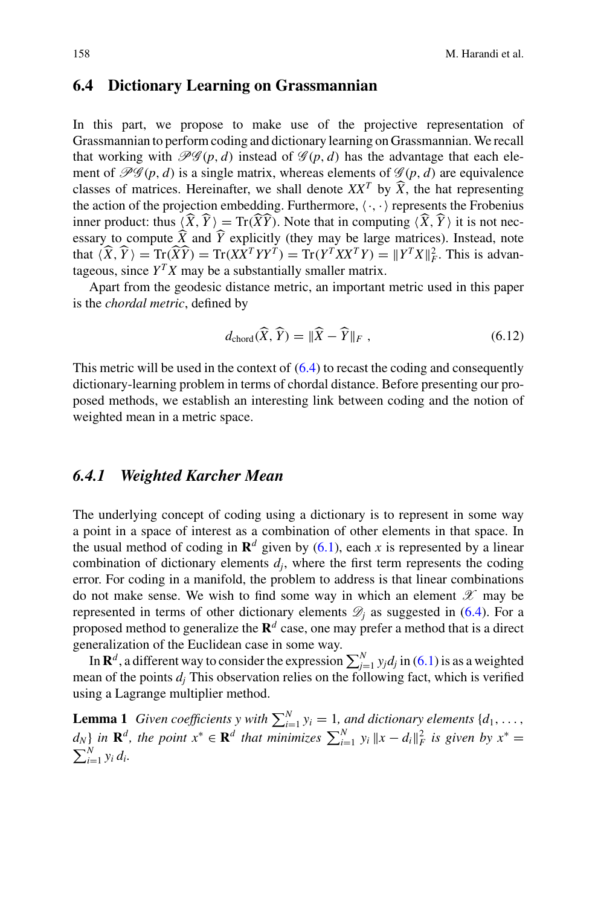## **6.4 Dictionary Learning on Grassmannian**

In this part, we propose to make use of the projective representation of Grassmannian to perform coding and dictionary learning on Grassmannian. We recall that working with  $\mathcal{PG}(p, d)$  instead of  $\mathcal{G}(p, d)$  has the advantage that each element of  $\mathcal{PG}(p, d)$  is a single matrix, whereas elements of  $\mathcal{G}(p, d)$  are equivalence classes of matrices. Hereinafter, we shall denote  $XX<sup>T</sup>$  by  $\widehat{X}$ , the hat representing the action of the projection embedding. Furthermore,  $\langle \cdot, \cdot \rangle$  represents the Frobenius inner product: thus  $\langle X, Y \rangle = \text{Tr}(XY)$ . Note that in computing  $\langle X, Y \rangle$  it is not nec-<br>executive compute  $\hat{Y}$  and  $\hat{Y}$  explicitly (they may be large matrices). Instead, note essary to compute  $\hat{X}$  and  $\hat{Y}$  explicitly (they may be large matrices). Instead, note that  $\langle \hat{X}, \hat{Y} \rangle = \text{Tr}(\hat{X}\hat{Y}) = \text{Tr}(XX^TYY^T) = \text{Tr}(Y^TXX^TY) = ||Y^TX||_F^2$ . This is advantageous, since  $Y^T X$  may be a substantially smaller matrix.

Apart from the geodesic distance metric, an important metric used in this paper is the *chordal metric*, defined by

<span id="page-13-0"></span>
$$
d_{\text{chord}}(\widehat{X}, \widehat{Y}) = \|\widehat{X} - \widehat{Y}\|_{F}, \qquad (6.12)
$$

This metric will be used in the context of  $(6.4)$  to recast the coding and consequently dictionary-learning problem in terms of chordal distance. Before presenting our proposed methods, we establish an interesting link between coding and the notion of weighted mean in a metric space.

### *6.4.1 Weighted Karcher Mean*

The underlying concept of coding using a dictionary is to represent in some way a point in a space of interest as a combination of other elements in that space. In the usual method of coding in  $\mathbb{R}^d$  given by [\(6.1\)](#page-2-0), each *x* is represented by a linear combination of dictionary elements  $d_i$ , where the first term represents the coding error. For coding in a manifold, the problem to address is that linear combinations do not make sense. We wish to find some way in which an element *X* may be represented in terms of other dictionary elements  $\mathcal{D}_i$  as suggested in [\(6.4\)](#page-3-1). For a proposed method to generalize the  $\mathbb{R}^d$  case, one may prefer a method that is a direct generalization of the Euclidean case in some way.

In  $\mathbf{R}^d$ , a different way to consider the expression  $\sum_{j=1}^N y_j d_j$  in [\(6.1\)](#page-2-0) is as a weighted mean of the points  $d_i$ . This observation relies on the following fact, which is verified using a Lagrange multiplier method.

**Lemma 1** *Given coefficients* y with  $\sum_{i=1}^{N} y_i = 1$ *, and dictionary elements*  $\{d_1, \ldots, d_n\}$  $d_N$  *in*  $\mathbf{R}^d$ *, the point*  $x^* \in \mathbf{R}^d$  *that minimizes*  $\sum_{i=1}^N y_i ||x - d_i||_F^2$  *is given by*  $x^* = \sum_{i=1}^N y_i$  $\sum_{i=1}^{N} y_i d_i$ .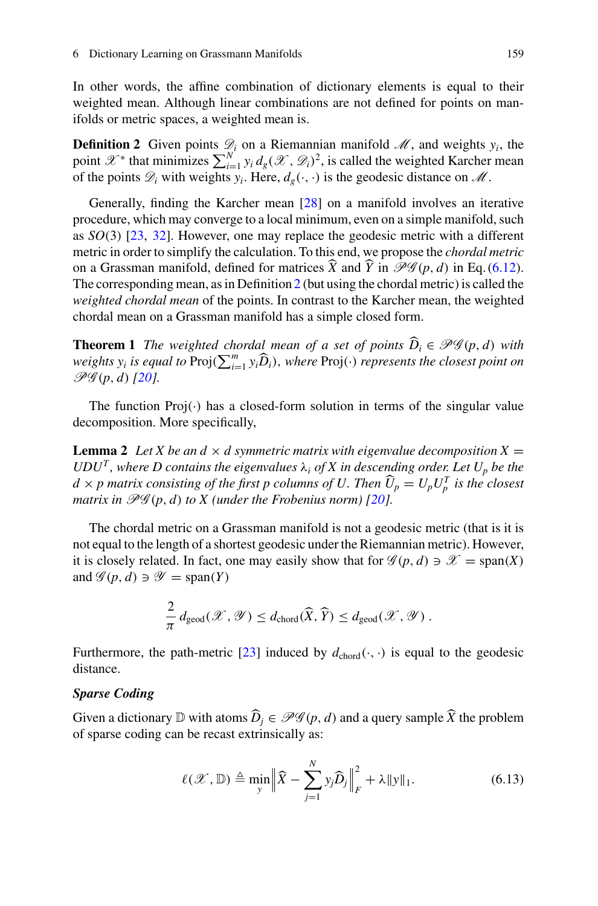<span id="page-14-0"></span>In other words, the affine combination of dictionary elements is equal to their weighted mean. Although linear combinations are not defined for points on manifolds or metric spaces, a weighted mean is.

**Definition 2** Given points  $\mathcal{D}_i$  on a Riemannian manifold  $\mathcal{M}$ , and weights  $y_i$ , the point  $\mathscr{X}^*$  that minimizes  $\sum_{i=1}^N y_i d_g(\mathscr{X}, \mathscr{D}_i)^2$ , is called the weighted Karcher mean of the points  $\mathcal{D}_i$  with weights  $y_i$ . Here,  $d_g(\cdot, \cdot)$  is the geodesic distance on  $\mathcal{M}$ .

Generally, finding the Karcher mean [\[28](#page-26-16)] on a manifold involves an iterative procedure, which may converge to a local minimum, even on a simple manifold, such as *SO*(3) [\[23,](#page-26-17) [32](#page-26-18)]. However, one may replace the geodesic metric with a different metric in order to simplify the calculation. To this end, we propose the *chordal metric* on a Grassman manifold, defined for matrices  $\hat{X}$  and  $\hat{Y}$  in  $\mathscr{P}\mathscr{G}(p, d)$  in Eq. [\(6.12\)](#page-13-0). The corresponding mean, as in Definition [2](#page-14-0) (but using the chordal metric) is called the *weighted chordal mean* of the points. In contrast to the Karcher mean, the weighted chordal mean on a Grassman manifold has a simple closed form.

**Theorem 1** *The weighted chordal mean of a set of points*  $\widehat{D}_i \in \mathcal{PG}(p,d)$  *with weights y<sub>i</sub> is equal to*  $\text{Proj}(\sum_{i=1}^{m} y_i \widehat{D}_i)$ , *where*  $\text{Proj}(\cdot)$  *represents the closest point on*  $\mathbb{P}(\mathcal{U}(\cdot), \mathcal{U})$ *PG* (*p*, *d*) *[\[20\]](#page-26-4).*

<span id="page-14-2"></span>The function  $Proj(\cdot)$  has a closed-form solution in terms of the singular value decomposition. More specifically,

**Lemma 2** Let X be an  $d \times d$  symmetric matrix with eigenvalue decomposition  $X =$  $UDU<sup>T</sup>$ , where D contains the eigenvalues  $\lambda_i$  of X in descending order. Let  $U_p$  be the  $d \times p$  matrix consisting of the first p columns of U. Then  $\widehat{U}_p = U_p U_p^T$  is the closest<br>weather in  $\mathcal{B}\mathcal{C}\mathcal{C}(p, d)$  to Y (under the Frederican serve)  $\Omega \mathcal{C}\mathcal{C}(p, d)$ *matrix in*  $\mathcal{PG}(p, d)$  *to X* (under the Frobenius norm) [\[20\]](#page-26-4).

The chordal metric on a Grassman manifold is not a geodesic metric (that is it is not equal to the length of a shortest geodesic under the Riemannian metric). However, it is closely related. In fact, one may easily show that for  $\mathcal{G}(p, d) \ni \mathcal{X} = \text{span}(X)$ and  $\mathscr{G}(p, d) \ni \mathscr{Y} = \text{span}(Y)$ 

$$
\frac{2}{\pi} d_{\text{geod}}(\mathscr{X}, \mathscr{Y}) \leq d_{\text{chord}}(\widehat{X}, \widehat{Y}) \leq d_{\text{geod}}(\mathscr{X}, \mathscr{Y}) .
$$

Furthermore, the path-metric [\[23](#page-26-17)] induced by  $d_{\text{chord}}(\cdot, \cdot)$  is equal to the geodesic distance.

#### *Sparse Coding*

<span id="page-14-1"></span>Given a dictionary D with atoms  $\widehat{D}_i \in \mathcal{PG}(p, d)$  and a query sample  $\widehat{X}$  the problem of sparse coding can be recast extrinsically as:

$$
\ell(\mathcal{X}, \mathbb{D}) \triangleq \min_{\mathbf{y}} \left\| \widehat{X} - \sum_{j=1}^{N} y_j \widehat{D}_j \right\|_F^2 + \lambda \| \mathbf{y} \|_1. \tag{6.13}
$$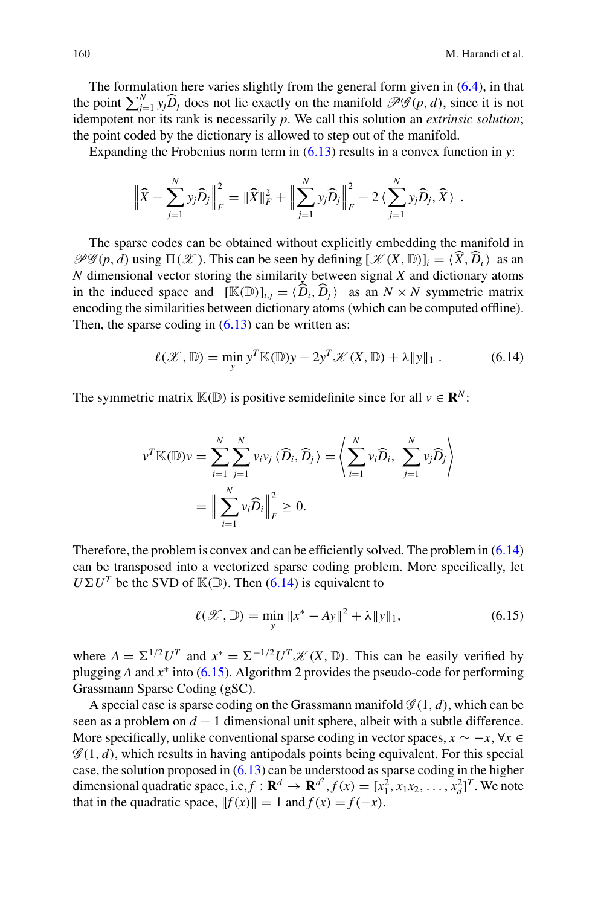The formulation here varies slightly from the general form given in  $(6.4)$ , in that the point  $\sum_{j=1}^{N} y_j \widehat{D}_j$  does not lie exactly on the manifold  $\mathcal{PG}(p, d)$ , since it is not idempotent nor its rank is necessarily p. We call this solution an *extrinsic solution*; the point coded by the dictionary is allowed to step out of the manifold.

Expanding the Frobenius norm term in [\(6.13\)](#page-14-1) results in a convex function in *y*:

$$
\left\|\widehat{X} - \sum_{j=1}^N y_j \widehat{D}_j\right\|_F^2 = \|\widehat{X}\|_F^2 + \left\|\sum_{j=1}^N y_j \widehat{D}_j\right\|_F^2 - 2\left\langle \sum_{j=1}^N y_j \widehat{D}_j, \widehat{X}\right\rangle.
$$

The sparse codes can be obtained without explicitly embedding the manifold in  $\mathcal{P}\mathcal{G}(p, d)$  using  $\Pi(\mathcal{X})$ . This can be seen by defining  $[\mathcal{K}(X, \mathbb{D})]_i = \langle \widehat{X}, \widehat{D}_i \rangle$  as an *M* dimensional vector stories the similarity between signal *X* and distinct vectors *N* dimensional vector storing the similarity between signal *X* and dictionary atoms in the induced space and  $[\mathbb{K}(\mathbb{D})]_{i,j} = \langle \widehat{D}_i, \widehat{D}_j \rangle$  as an  $N \times N$  symmetric matrix<br>conseding the similarities between distingent stems (which see he computed offline). encoding the similarities between dictionary atoms (which can be computed offline). Then, the sparse coding in  $(6.13)$  can be written as:

$$
\ell(\mathcal{X}, \mathbb{D}) = \min_{y} y^T \mathbb{K}(\mathbb{D})y - 2y^T \mathcal{K}(X, \mathbb{D}) + \lambda \|y\|_1.
$$
 (6.14)

<span id="page-15-0"></span>The symmetric matrix  $\mathbb{K}(\mathbb{D})$  is positive semidefinite since for all  $v \in \mathbb{R}^N$ :

$$
v^T \mathbb{K}(\mathbb{D}) v = \sum_{i=1}^N \sum_{j=1}^N v_i v_j \langle \widehat{D}_i, \widehat{D}_j \rangle = \left\langle \sum_{i=1}^N v_i \widehat{D}_i, \sum_{j=1}^N v_j \widehat{D}_j \right\rangle
$$
  
= 
$$
\Big\| \sum_{i=1}^N v_i \widehat{D}_i \Big\|_F^2 \ge 0.
$$

<span id="page-15-1"></span>Therefore, the problem is convex and can be efficiently solved. The problem in [\(6.14\)](#page-15-0) can be transposed into a vectorized sparse coding problem. More specifically, let  $U\Sigma U^T$  be the SVD of  $\mathbb{K}(\mathbb{D})$ . Then [\(6.14\)](#page-15-0) is equivalent to

$$
\ell(\mathcal{X}, \mathbb{D}) = \min_{y} \|x^* - Ay\|^2 + \lambda \|y\|_1, \tag{6.15}
$$

where  $A = \sum^{1/2} U^T$  and  $x^* = \sum^{-1/2} U^T \mathcal{K}(X, \mathbb{D})$ . This can be easily verified by plugging *A* and *x*<sup>∗</sup> into [\(6.15\)](#page-15-1). Algorithm 2 provides the pseudo-code for performing Grassmann Sparse Coding (gSC).

A special case is sparse coding on the Grassmann manifold  $\mathscr{G}(1, d)$ , which can be seen as a problem on *d* − 1 dimensional unit sphere, albeit with a subtle difference. More specifically, unlike conventional sparse coding in vector spaces,  $x \sim -x$ ,  $\forall x \in$  $\mathscr{G}(1, d)$ , which results in having antipodals points being equivalent. For this special case, the solution proposed in  $(6.13)$  can be understood as sparse coding in the higher dimensional quadratic space, i.e,  $f : \mathbf{R}^d \to \mathbf{R}^{d^2}$ ,  $f(x) = [x_1^2, x_1x_2, \ldots, x_d^2]^T$ . We note that in the quadratic space,  $||f(x)|| = 1$  and  $f(x) = f(-x)$ .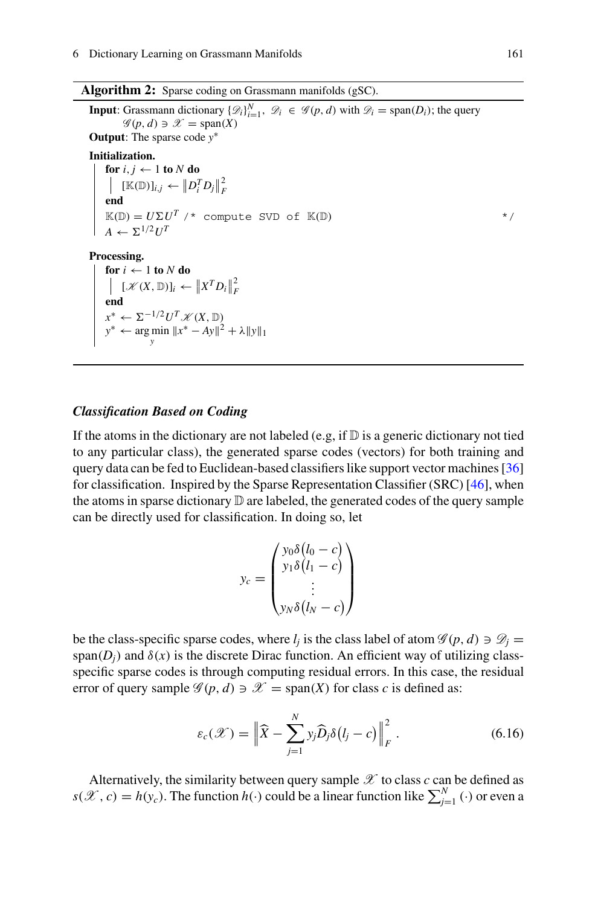|  |  |  | <b>Algorithm 2:</b> Sparse coding on Grassmann manifolds (gSC). |
|--|--|--|-----------------------------------------------------------------|
|--|--|--|-----------------------------------------------------------------|

**Input**: Grassmann dictionary  $\{\mathcal{D}_i\}_{i=1}^N$ ,  $\mathcal{D}_i \in \mathcal{G}(p, d)$  with  $\mathcal{D}_i = \text{span}(D_i)$ ; the query  $\mathcal{L}(\mathcal{D}_i) \supset \mathcal{D}_i$  are  $\mathcal{L}(\mathbf{X})$ .  $\mathscr{G}(p, d) \ni \mathscr{X} = \text{span}(X)$ **Output**: The sparse code *y*∗ **Initialization. for**  $i, j \leftarrow 1$  **to**  $N$  **do**  $\left\| \left[ \mathbb{K}(\mathbb{D}) \right]_{i,j} \leftarrow \left\| D_i^T D_j \right\|_F^2$ <br>**end**  $\mathbb{K}(\mathbb{D}) = U \Sigma U^T$  /\* compute SVD of  $\mathbb{K}(\mathbb{D})$  \*/  $A \leftarrow \Sigma^{1/2} H^T$ **Processing. for**  $i \leftarrow 1$  **to**  $N$  **do**  $\left| \begin{array}{l} [\mathcal{K}(X, \mathbb{D})]_i \leftarrow \|X^T D_i\|_F^2 \end{array} \right.$ end  $x^*$  ←  $\Sigma^{-1/2}U^T$  *K* (*X*, <u>D</u>) *y*<sup>∗</sup> ← arg min  $||x^* - Ay||^2 + \lambda ||y||_1$ 

#### *Classification Based on Coding*

If the atoms in the dictionary are not labeled (e.g, if  $\mathbb D$  is a generic dictionary not tied to any particular class), the generated sparse codes (vectors) for both training and query data can be fed to Euclidean-based classifiers like support vector machines [\[36\]](#page-27-11) for classification. Inspired by the Sparse Representation Classifier (SRC) [\[46\]](#page-27-1), when the atoms in sparse dictionary  $\mathbb D$  are labeled, the generated codes of the query sample can be directly used for classification. In doing so, let

$$
y_c = \begin{pmatrix} y_0 \delta(l_0 - c) \\ y_1 \delta(l_1 - c) \\ \vdots \\ y_N \delta(l_N - c) \end{pmatrix}
$$

be the class-specific sparse codes, where  $l_i$  is the class label of atom  $\mathscr{G}(p, d) \ni \mathscr{D}_i =$ span( $D_i$ ) and  $\delta(x)$  is the discrete Dirac function. An efficient way of utilizing classspecific sparse codes is through computing residual errors. In this case, the residual error of query sample  $\mathscr{G}(p, d) \ni \mathscr{X} = \text{span}(X)$  for class *c* is defined as:

$$
\varepsilon_c(\mathcal{X}) = \left\| \widehat{X} - \sum_{j=1}^N y_j \widehat{D}_j \delta(l_j - c) \right\|_F^2.
$$
 (6.16)

<span id="page-16-0"></span>Alternatively, the similarity between query sample  $\mathscr X$  to class  $c$  can be defined as  $s(\mathcal{X}, c) = h(y_c)$ . The function  $h(\cdot)$  could be a linear function like  $\sum_{j=1}^{N}(\cdot)$  or even a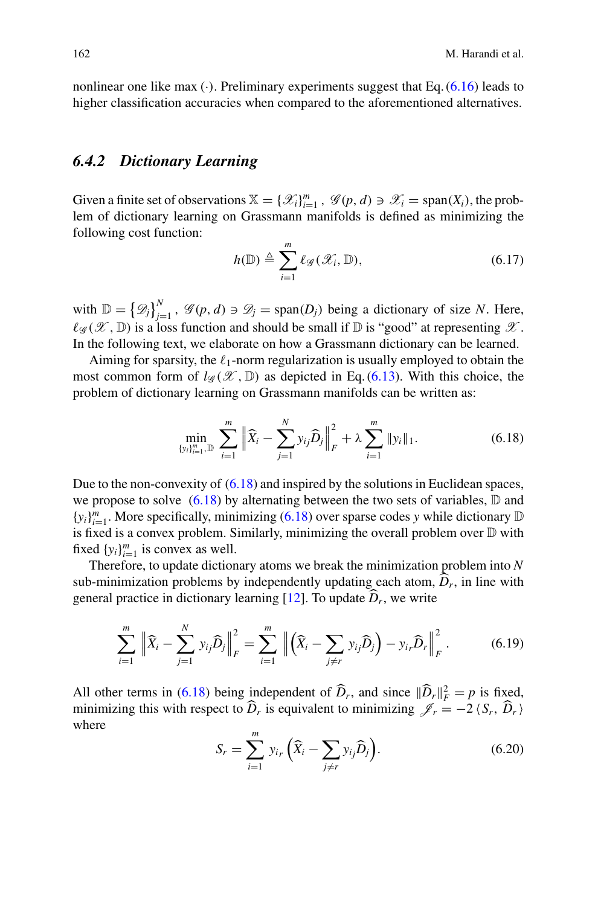nonlinear one like max  $(\cdot)$ . Preliminary experiments suggest that Eq.  $(6.16)$  leads to higher classification accuracies when compared to the aforementioned alternatives.

### *6.4.2 Dictionary Learning*

Given a finite set of observations  $\mathbb{X} = \{ \mathcal{X}_i \}_{i=1}^m$ ,  $\mathcal{G}(p, d) \ni \mathcal{X}_i = \text{span}(X_i)$ , the problem of dictionary learning on Grassmann manifolds is defined as minimizing the following cost function:

$$
h(\mathbb{D}) \triangleq \sum_{i=1}^{m} \ell_{\mathscr{G}}(\mathscr{X}_i, \mathbb{D}), \qquad (6.17)
$$

with  $\mathbb{D} = {\mathcal{D}_j}_{j=1}^N$ ,  $\mathcal{G}(p, d) \ni \mathcal{D}_j = \text{span}(D_j)$  being a dictionary of size *N*. Here,  $\ell_{\mathscr{G}}(\mathscr{X}, \mathbb{D})$  is a loss function and should be small if  $\mathbb{D}$  is "good" at representing  $\mathscr{X}$ . In the following text, we elaborate on how a Grassmann dictionary can be learned.

<span id="page-17-0"></span>Aiming for sparsity, the  $\ell_1$ -norm regularization is usually employed to obtain the most common form of  $l_{\mathscr{G}}(\mathscr{X}, \mathbb{D})$  as depicted in Eq. [\(6.13\)](#page-14-1). With this choice, the problem of dictionary learning on Grassmann manifolds can be written as:

$$
\min_{\{y_i\}_{i=1}^m, \mathbb{D}} \sum_{i=1}^m \left\| \widehat{X}_i - \sum_{j=1}^N y_{ij} \widehat{D}_j \right\|_F^2 + \lambda \sum_{i=1}^m \|y_i\|_1. \tag{6.18}
$$

Due to the non-convexity of [\(6.18\)](#page-17-0) and inspired by the solutions in Euclidean spaces, we propose to solve  $(6.18)$  by alternating between the two sets of variables,  $\mathbb D$  and  ${y_i}_{i=1}^m$ . More specifically, minimizing [\(6.18\)](#page-17-0) over sparse codes *y* while dictionary D is fixed is a convex problem. Similarly, minimizing the overall problem over D with fixed  $\{y_i\}_{i=1}^m$  is convex as well.

Therefore, to update dictionary atoms we break the minimization problem into *N* sub-minimization problems by independently updating each atom,  $\hat{D}_r$ , in line with general practice in dictionary learning  $[12]$ . To update  $\widehat{D}_r$ , we write

$$
\sum_{i=1}^{m} \left\| \widehat{X}_{i} - \sum_{j=1}^{N} y_{ij} \widehat{D}_{j} \right\|_{F}^{2} = \sum_{i=1}^{m} \left\| \left( \widehat{X}_{i} - \sum_{j \neq r} y_{ij} \widehat{D}_{j} \right) - y_{ir} \widehat{D}_{r} \right\|_{F}^{2}.
$$
 (6.19)

<span id="page-17-1"></span>All other terms in [\(6.18\)](#page-17-0) being independent of  $\widehat{D}_r$ , and since  $\|\widehat{D}_r\|_F^2 = p$  is fixed, minimizing this with respect to *D<sub>r</sub>* is equivalent to minimizing  $\mathcal{J}_r = -2 \langle S_r, D_r \rangle$ where

$$
S_r = \sum_{i=1}^{m} y_{ir} \left( \widehat{X}_i - \sum_{j \neq r} y_{ij} \widehat{D}_j \right).
$$
 (6.20)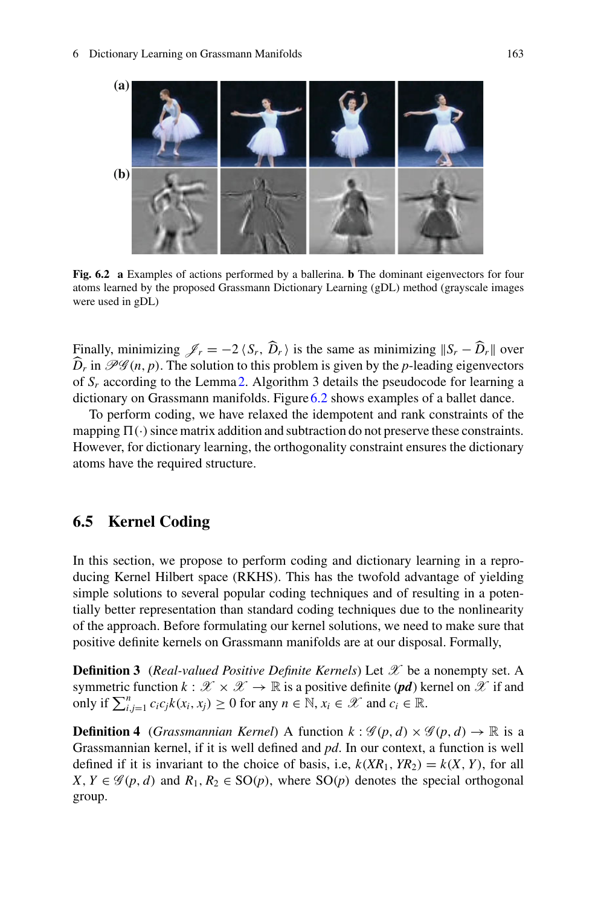

**Fig. 6.2 a** Examples of actions performed by a ballerina. **b** The dominant eigenvectors for four atoms learned by the proposed Grassmann Dictionary Learning (gDL) method (grayscale images were used in gDL)

<span id="page-18-0"></span>Finally, minimizing  $\mathcal{J}_r = -2 \langle S_r, D_r \rangle$  is the same as minimizing  $||S_r - D_r||$  over  $\widehat{D}_r$  in  $\mathscr{PG}(n, p)$ . The solution to this problem is given by the *p*-leading eigenvectors of  $S_r$  according to the Lemma [2.](#page-14-2) Algorithm 3 details the pseudocode for learning a dictionary on Grassmann manifolds. Figure [6.2](#page-18-0) shows examples of a ballet dance.

To perform coding, we have relaxed the idempotent and rank constraints of the mapping  $\Pi(\cdot)$  since matrix addition and subtraction do not preserve these constraints. However, for dictionary learning, the orthogonality constraint ensures the dictionary atoms have the required structure.

# <span id="page-18-1"></span>**6.5 Kernel Coding**

In this section, we propose to perform coding and dictionary learning in a reproducing Kernel Hilbert space (RKHS). This has the twofold advantage of yielding simple solutions to several popular coding techniques and of resulting in a potentially better representation than standard coding techniques due to the nonlinearity of the approach. Before formulating our kernel solutions, we need to make sure that positive definite kernels on Grassmann manifolds are at our disposal. Formally,

**Definition 3** (*Real-valued Positive Definite Kernels*) Let *X* be a nonempty set. A symmetric function  $k : \mathcal{X} \times \mathcal{X} \to \mathbb{R}$  is a positive definite (*pd*) kernel on  $\mathcal{X}$  if and only if  $\sum_{i,j=1}^{n} c_i c_j k(x_i, x_j) \ge 0$  for any  $n \in \mathbb{N}, x_i \in \mathcal{X}$  and  $c_i \in \mathbb{R}$ .

**Definition 4** (*Grassmannian Kernel*) A function  $k : \mathcal{G}(p, d) \times \mathcal{G}(p, d) \rightarrow \mathbb{R}$  is a Grassmannian kernel, if it is well defined and *pd*. In our context, a function is well defined if it is invariant to the choice of basis, i.e,  $k(XR_1, YR_2) = k(X, Y)$ , for all *X*, *Y* ∈  $\mathcal{G}(p, d)$  and  $R_1, R_2$  ∈ SO(*p*), where SO(*p*) denotes the special orthogonal group.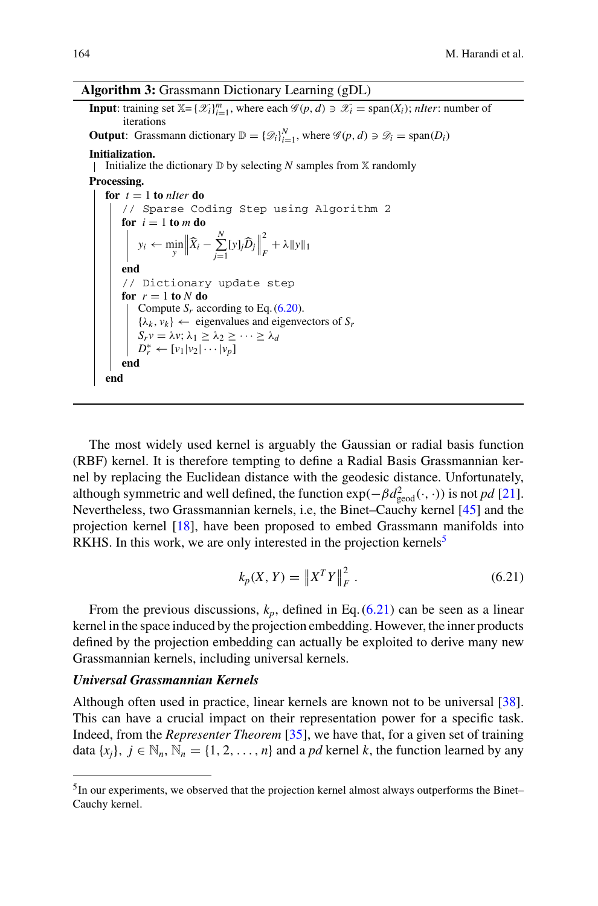#### **Algorithm 3:** Grassmann Dictionary Learning (gDL)

**Input**: training set  $\mathbb{X} = \{ \mathcal{X}_i \}_{i=1}^m$ , where each  $\mathcal{G}(p, d) \ni \mathcal{X}_i = \text{span}(X_i)$ ; *nIter*: number of iterations

**Output**: Grassmann dictionary  $\mathbb{D} = \{\mathscr{D}_i\}_{i=1}^N$ , where  $\mathscr{G}(p, d) \ni \mathscr{D}_i = \text{span}(D_i)$ 

#### **Initialization.**

Initialize the dictionary  $\mathbb D$  by selecting *N* samples from  $\mathbb X$  randomly

#### **Processing.**

```
for t = 1 to nIter do
     // Sparse Coding Step using Algorithm 2
     for i = 1 to m do
          y_i \leftarrow \min_{y} \left\| \widehat{X}_i - \sum_{j=1}^N \right\|\sum_{j=1}^n [y]_j \widehat{D}_j\frac{2}{F} + \lambda \|y\|_1end
    // Dictionary update step
    for r = 1 to N do
        Compute S_r(6.20).
         \{\lambda_k, v_k\} \leftarrow eigenvalues and eigenvectors of S_rS<sub>r</sub>v = \lambdav; \lambda<sub>1</sub> ≥ \lambda<sub>2</sub> ≥ ··· ≥ \lambdad
          D_r^* \leftarrow [\nu_1 | \nu_2 | \cdots | \nu_p]end
end
```
The most widely used kernel is arguably the Gaussian or radial basis function (RBF) kernel. It is therefore tempting to define a Radial Basis Grassmannian kernel by replacing the Euclidean distance with the geodesic distance. Unfortunately, although symmetric and well defined, the function  $\exp(-\beta d_{\text{geod}}^2(\cdot,\cdot))$  is not *pd* [\[21](#page-26-9)]. Nevertheless, two Grassmannian kernels, i.e, the Binet–Cauchy kernel [\[45](#page-27-12)] and the projection kernel [\[18\]](#page-26-8), have been proposed to embed Grassmann manifolds into RKHS. In this work, we are only interested in the projection kernels<sup>3</sup>

<span id="page-19-1"></span>
$$
k_p(X, Y) = \|X^T Y\|_F^2.
$$
\n(6.21)

From the previous discussions,  $k_p$ , defined in Eq. [\(6.21\)](#page-19-1) can be seen as a linear kernel in the space induced by the projection embedding. However, the inner products defined by the projection embedding can actually be exploited to derive many new Grassmannian kernels, including universal kernels.

#### *Universal Grassmannian Kernels*

Although often used in practice, linear kernels are known not to be universal [\[38](#page-27-13)]. This can have a crucial impact on their representation power for a specific task. Indeed, from the *Representer Theorem* [\[35\]](#page-27-14), we have that, for a given set of training data  $\{x_i\}, i \in \mathbb{N}_n, \mathbb{N}_n = \{1, 2, \ldots, n\}$  and a *pd* kernel *k*, the function learned by any

<span id="page-19-0"></span><sup>&</sup>lt;sup>5</sup>In our experiments, we observed that the projection kernel almost always outperforms the Binet– Cauchy kernel.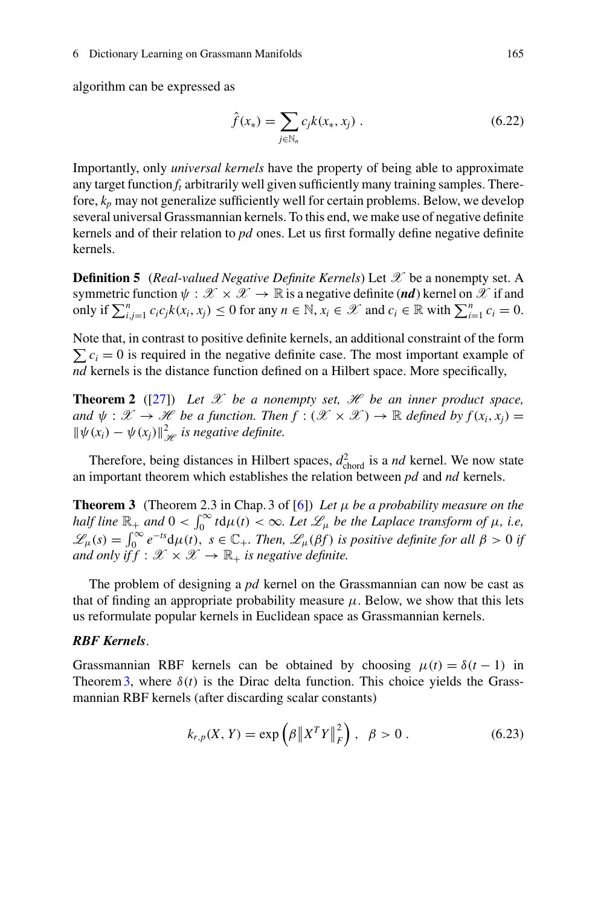#### 6 Dictionary Learning on Grassmann Manifolds 165

algorithm can be expressed as

$$
\hat{f}(x_*) = \sum_{j \in \mathbb{N}_n} c_j k(x_*, x_j) . \tag{6.22}
$$

Importantly, only *universal kernels* have the property of being able to approximate any target function  $f_t$  arbitrarily well given sufficiently many training samples. Therefore,  $k_p$  may not generalize sufficiently well for certain problems. Below, we develop several universal Grassmannian kernels. To this end, we make use of negative definite kernels and of their relation to *pd* ones. Let us first formally define negative definite kernels.

**Definition 5** (*Real-valued Negative Definite Kernels*) Let *X* be a nonempty set. A symmetric function  $\psi : \mathcal{X} \times \mathcal{X} \to \mathbb{R}$  is a negative definite (*nd*) kernel on  $\mathcal{X}$  if and only if  $\sum_{i,j=1}^{n} c_i c_j k(x_i, x_j) \le 0$  for any  $n \in \mathbb{N}, x_i \in \mathcal{X}$  and  $c_i \in \mathbb{R}$  with  $\sum_{i=1}^{n} c_i = 0$ .

Note that, in contrast to positive definite kernels, an additional constraint of the form  $\sum c_i = 0$  is required in the negative definite case. The most important example of *nd* kernels is the distance function defined on a Hilbert space. More specifically,

**Theorem 2** ([\[27](#page-26-19)]) Let  $\mathcal X$  be a nonempty set,  $\mathcal H$  be an inner product space, *and*  $\psi : \mathcal{X} \to \mathcal{H}$  *be a function. Then*  $f : (\mathcal{X} \times \mathcal{X}) \to \mathbb{R}$  *defined by*  $f(x_i, x_i) =$  $\|\psi(x_i) - \psi(x_j)\|_{\mathcal{H}}^2$  *is negative definite.* 

<span id="page-20-0"></span>Therefore, being distances in Hilbert spaces,  $d_{\text{chord}}^2$  is a *nd* kernel. We now state an important theorem which establishes the relation between *pd* and *nd* kernels.

**Theorem 3** (Theorem 2.3 in Chap. 3 of [\[6\]](#page-25-9)) *Let* μ *be a probability measure on the half line*  $\mathbb{R}_+$  *and*  $0 < \int_0^\infty t \, \mathrm{d}\mu(t) < \infty$ *. Let*  $\mathscr{L}_\mu$  *be the Laplace transform of*  $\mu$ *, i.e,*  $\mathscr{L}_{\mu}(s) = \int_0^{\infty} e^{-ts} d\mu(t), \ s \in \mathbb{C}_+$ *. Then,*  $\mathscr{L}_{\mu}(\beta f)$  *is positive definite for all*  $\beta > 0$  *if and only if*  $f : \mathcal{X} \times \mathcal{X} \to \mathbb{R}_+$  *is negative definite.* 

The problem of designing a *pd* kernel on the Grassmannian can now be cast as that of finding an appropriate probability measure  $\mu$ . Below, we show that this lets us reformulate popular kernels in Euclidean space as Grassmannian kernels.

### *RBF Kernels*.

Grassmannian RBF kernels can be obtained by choosing  $\mu(t) = \delta(t-1)$  in Theorem [3,](#page-20-0) where  $\delta(t)$  is the Dirac delta function. This choice yields the Grassmannian RBF kernels (after discarding scalar constants)

$$
k_{r,p}(X,Y) = \exp\left(\beta \|X^T Y\|_F^2\right), \ \ \beta > 0 \ . \tag{6.23}
$$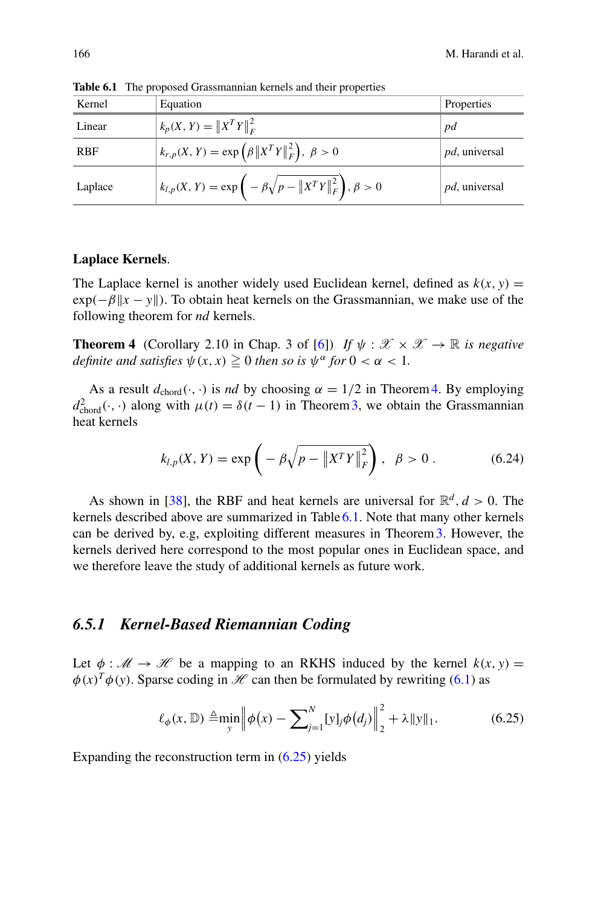| Kernel     | Equation                                                                       | Properties            |
|------------|--------------------------------------------------------------------------------|-----------------------|
| Linear     | $k_p(X, Y) =   X^T Y  _F^2$                                                    | pd                    |
| <b>RBF</b> | $k_{r,p}(X, Y) = \exp(\beta   X^T Y  _F^2), \ \beta > 0$                       | <i>pd</i> , universal |
| Laplace    | $k_{l,p}(X, Y) = \exp \left(-\beta \sqrt{p - \ X^T Y\ _F^2}\right), \beta > 0$ | <i>pd</i> , universal |

<span id="page-21-1"></span>**Table 6.1** The proposed Grassmannian kernels and their properties

#### **Laplace Kernels**.

The Laplace kernel is another widely used Euclidean kernel, defined as  $k(x, y) =$  $exp(-\beta ||x - y||)$ . To obtain heat kernels on the Grassmannian, we make use of the following theorem for *nd* kernels.

<span id="page-21-0"></span>**Theorem 4** (Corollary 2.10 in Chap. 3 of [\[6\]](#page-25-9)) *If*  $\psi : \mathcal{X} \times \mathcal{X} \to \mathbb{R}$  *is negative definite and satisfies*  $\psi(x, x) \geq 0$  *then so is*  $\psi^{\alpha}$  *for*  $0 < \alpha < 1$ *.* 

As a result  $d_{\text{chord}}(\cdot, \cdot)$  is *nd* by choosing  $\alpha = 1/2$  in Theorem [4.](#page-21-0) By employing  $d_{\text{chord}}^2(\cdot, \cdot)$  along with  $\mu(t) = \delta(t-1)$  in Theorem 3, we obtain the Grassmannian heat kernels

$$
k_{l,p}(X,Y) = \exp\left(-\beta\sqrt{p - \|X^T Y\|_F^2}\right), \ \ \beta > 0. \tag{6.24}
$$

As shown in [\[38](#page-27-13)], the RBF and heat kernels are universal for  $\mathbb{R}^d$ ,  $d > 0$ . The kernels described above are summarized in Table [6.1.](#page-21-1) Note that many other kernels can be derived by, e.g, exploiting different measures in Theorem[3.](#page-20-0) However, the kernels derived here correspond to the most popular ones in Euclidean space, and we therefore leave the study of additional kernels as future work.

### *6.5.1 Kernel-Based Riemannian Coding*

Let  $\phi : \mathcal{M} \to \mathcal{H}$  be a mapping to an RKHS induced by the kernel  $k(x, y) =$  $\phi(x)^T \phi(y)$ . Sparse coding in *H* can then be formulated by rewriting [\(6.1\)](#page-2-0) as

<span id="page-21-2"></span>
$$
\ell_{\phi}(x,\mathbb{D}) \triangleq \min_{y} \left\| \phi(x) - \sum_{j=1}^{N} [y]_{j} \phi(d_{j}) \right\|_{2}^{2} + \lambda \|y\|_{1}.
$$
 (6.25)

Expanding the reconstruction term in  $(6.25)$  yields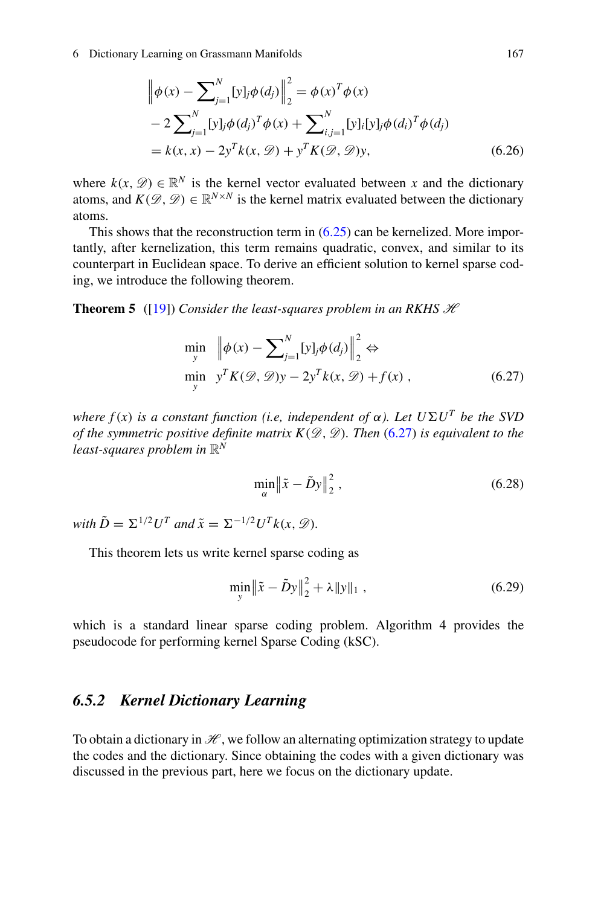$$
\begin{aligned} \left\| \phi(x) - \sum_{j=1}^{N} [y]_j \phi(d_j) \right\|_2^2 &= \phi(x)^T \phi(x) \\ &- 2 \sum_{j=1}^{N} [y]_j \phi(d_j)^T \phi(x) + \sum_{i,j=1}^{N} [y]_i [y]_j \phi(d_i)^T \phi(d_j) \\ &= k(x, x) - 2y^T k(x, \mathcal{D}) + y^T K(\mathcal{D}, \mathcal{D}) y, \end{aligned} \tag{6.26}
$$

where  $k(x, \mathcal{D}) \in \mathbb{R}^N$  is the kernel vector evaluated between x and the dictionary atoms, and  $K(\mathscr{D}, \mathscr{D}) \in \mathbb{R}^{N \times N}$  is the kernel matrix evaluated between the dictionary atoms.

This shows that the reconstruction term in  $(6.25)$  can be kernelized. More importantly, after kernelization, this term remains quadratic, convex, and similar to its counterpart in Euclidean space. To derive an efficient solution to kernel sparse coding, we introduce the following theorem.

**Theorem 5** ([\[19](#page-26-20)]) *Consider the least-squares problem in an RKHS*  $H$ 

$$
\min_{y} \left\| \phi(x) - \sum_{j=1}^{N} [y]_j \phi(d_j) \right\|_2^2 \Leftrightarrow
$$
  

$$
\min_{y} \left\| y^T K(\mathcal{D}, \mathcal{D}) y - 2y^T k(x, \mathcal{D}) + f(x) \right\},
$$
(6.27)

*where*  $f(x)$  *is a constant function (i.e, independent of*  $\alpha$ *). Let*  $U\Sigma U^T$  *be the SVD of the symmetric positive definite matrix*  $K(\mathscr{D}, \mathscr{D})$ *. Then [\(6.27\)](#page-22-0) is equivalent to the least-squares problem in* R*<sup>N</sup>*

<span id="page-22-0"></span>
$$
\min_{\alpha} \left\| \tilde{x} - \tilde{D}y \right\|_2^2, \tag{6.28}
$$

*with*  $\tilde{D} = \sum_{i=1}^{N} U^T$  *and*  $\tilde{x} = \sum_{i=1}^{N} U^T k(x, \mathcal{D})$ .

This theorem lets us write kernel sparse coding as

$$
\min_{y} \left\| \tilde{x} - \tilde{D}y \right\|_{2}^{2} + \lambda \|y\|_{1}, \tag{6.29}
$$

which is a standard linear sparse coding problem. Algorithm 4 provides the pseudocode for performing kernel Sparse Coding (kSC).

### *6.5.2 Kernel Dictionary Learning*

To obtain a dictionary in  $\mathcal{H}$ , we follow an alternating optimization strategy to update the codes and the dictionary. Since obtaining the codes with a given dictionary was discussed in the previous part, here we focus on the dictionary update.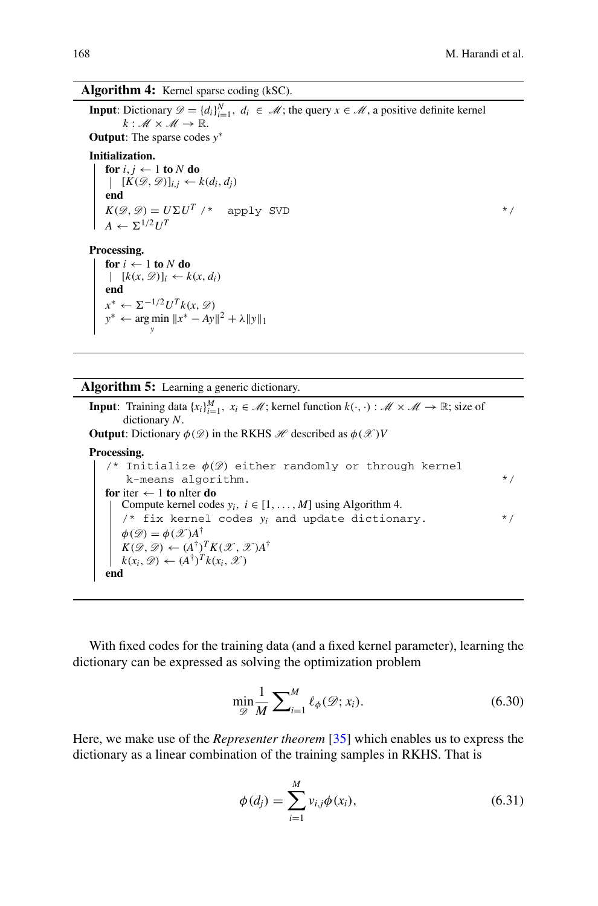### **Algorithm 4:** Kernel sparse coding (kSC).

**Input**: Dictionary  $\mathcal{D} = \{d_i\}_{i=1}^N$ ,  $d_i \in \mathcal{M}$ ; the query  $x \in \mathcal{M}$ , a positive definite kernel  $k : M \times M \rightarrow \mathbb{R}$ . **Output**: The sparse codes *y*∗ **Initialization. for**  $i, j \leftarrow 1$  **to**  $N$  **do**  $[K(\mathcal{D}, \mathcal{D})]_{i,i} \leftarrow k(d_i, d_j)$ **end**  $K(\mathcal{D}, \mathcal{D}) = U \Sigma U^T$  /\* apply SVD \*/  $A \leftarrow \Sigma^{1/2} U^T$ **Processing.** for  $i \leftarrow 1$  to  $N$  do  $[k(x, \mathcal{D})]_i \leftarrow k(x, d_i)$ **end**  $x^*$  ←  $\Sigma^{-1/2}U^T k(x, \mathcal{D})$ *y*\* ← arg min  $||x^* - Ay||^2 + \lambda ||y||_1$ 

**Algorithm 5:** Learning a generic dictionary.

**Input**: Training data  $\{x_i\}_{i=1}^M$ ,  $x_i \in \mathcal{M}$ ; kernel function  $k(\cdot, \cdot) : \mathcal{M} \times \mathcal{M} \to \mathbb{R}$ ; size of dictionary *N*. **Output**: Dictionary  $\phi(\mathcal{D})$  in the RKHS *H* described as  $\phi(\mathcal{X})V$ **Processing.** /\* Initialize  $\phi(\mathscr{D})$  either randomly or through kernel  $k$ -means algorithm.  $*$ / **for** iter  $\leftarrow$  1 **to** nIter **do** Compute kernel codes  $y_i$ ,  $i \in [1, ..., M]$  using Algorithm 4. /\* fix kernel codes *yi* and update dictionary. \*/  $\phi(\mathscr{D}) = \phi(\mathscr{X})A^{\dagger}$  $K(\mathscr{D}, \mathscr{D}) \leftarrow (A^{\dagger})^T K(\mathscr{X}, \mathscr{X}) A^{\dagger}$  $k(x_i, \mathscr{D}) \leftarrow (A^{\dagger})^T k(x_i, \mathscr{X})$ **end**

With fixed codes for the training data (and a fixed kernel parameter), learning the dictionary can be expressed as solving the optimization problem

$$
\min_{\mathcal{D}} \frac{1}{M} \sum_{i=1}^{M} \ell_{\phi}(\mathcal{D}; x_i). \tag{6.30}
$$

Here, we make use of the *Representer theorem* [\[35\]](#page-27-14) which enables us to express the dictionary as a linear combination of the training samples in RKHS. That is

$$
\phi(d_j) = \sum_{i=1}^{M} v_{i,j} \phi(x_i),
$$
\n(6.31)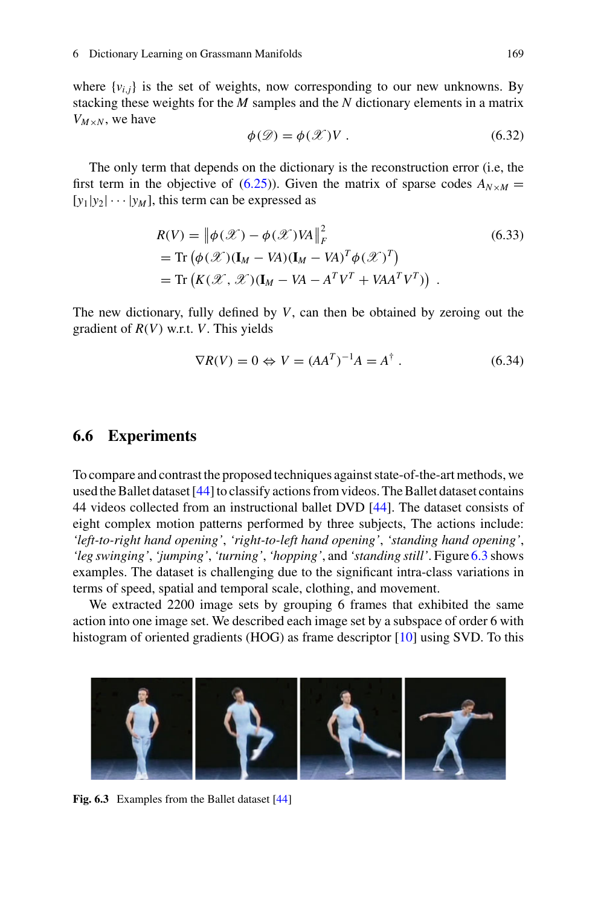where  $\{v_{i,j}\}\$ is the set of weights, now corresponding to our new unknowns. By stacking these weights for the *M* samples and the *N* dictionary elements in a matrix  $V_{M \times N}$ , we have

$$
\phi(\mathcal{D}) = \phi(\mathcal{X})V. \tag{6.32}
$$

The only term that depends on the dictionary is the reconstruction error (i.e, the first term in the objective of [\(6.25\)](#page-21-2)). Given the matrix of sparse codes  $A_{N \times M}$  =  $[y_1|y_2|\cdots|y_M]$ , this term can be expressed as

$$
R(V) = \left\| \phi(\mathcal{X}) - \phi(\mathcal{X}) V A \right\|_F^2
$$
\n
$$
= \text{Tr} \left( \phi(\mathcal{X}) (\mathbf{I}_M - V A) (\mathbf{I}_M - V A)^T \phi(\mathcal{X})^T \right)
$$
\n
$$
= \text{Tr} \left( K(\mathcal{X}, \mathcal{X}) (\mathbf{I}_M - V A - A^T V^T + V A A^T V^T) \right).
$$
\n(6.33)

The new dictionary, fully defined by *V*, can then be obtained by zeroing out the gradient of *R*(*V*) w.r.t. *V*. This yields

$$
\nabla R(V) = 0 \Leftrightarrow V = (AA^T)^{-1}A = A^{\dagger}.
$$
 (6.34)

### **6.6 Experiments**

To compare and contrast the proposed techniques against state-of-the-art methods, we used the Ballet dataset [\[44](#page-27-15)] to classify actions from videos. The Ballet dataset contains 44 videos collected from an instructional ballet DVD [\[44](#page-27-15)]. The dataset consists of eight complex motion patterns performed by three subjects, The actions include: *'left-to-right hand opening'*, *'right-to-left hand opening'*, *'standing hand opening'*, *'leg swinging'*, *'jumping'*, *'turning'*, *'hopping'*, and *'standing still'*. Figure [6.3](#page-24-0) shows examples. The dataset is challenging due to the significant intra-class variations in terms of speed, spatial and temporal scale, clothing, and movement.

We extracted 2200 image sets by grouping 6 frames that exhibited the same action into one image set. We described each image set by a subspace of order 6 with histogram of oriented gradients (HOG) as frame descriptor [\[10](#page-25-10)] using SVD. To this

<span id="page-24-0"></span>

Fig. 6.3 Examples from the Ballet dataset [\[44\]](#page-27-15)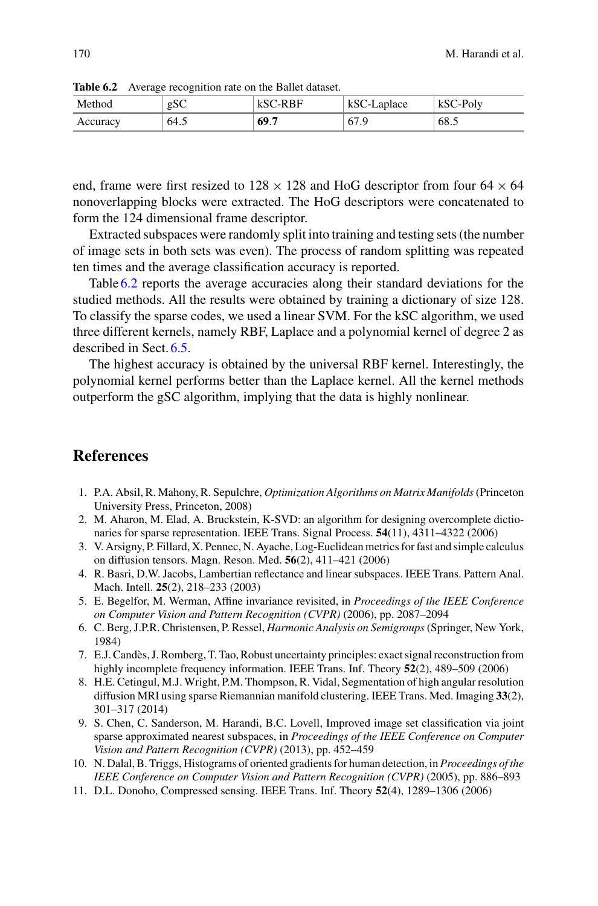| Method   | gSC  | kSC-RBF | kSC-Laplace | kSC-Poly |
|----------|------|---------|-------------|----------|
| Accuracy | 64.5 | 69.7    | 67.9        | 68.5     |

<span id="page-25-11"></span>**Table 6.2** Average recognition rate on the Ballet dataset.

end, frame were first resized to  $128 \times 128$  and HoG descriptor from four 64  $\times$  64 nonoverlapping blocks were extracted. The HoG descriptors were concatenated to form the 124 dimensional frame descriptor.

Extracted subspaces were randomly split into training and testing sets (the number of image sets in both sets was even). The process of random splitting was repeated ten times and the average classification accuracy is reported.

Table [6.2](#page-25-11) reports the average accuracies along their standard deviations for the studied methods. All the results were obtained by training a dictionary of size 128. To classify the sparse codes, we used a linear SVM. For the kSC algorithm, we used three different kernels, namely RBF, Laplace and a polynomial kernel of degree 2 as described in Sect. [6.5.](#page-18-1)

The highest accuracy is obtained by the universal RBF kernel. Interestingly, the polynomial kernel performs better than the Laplace kernel. All the kernel methods outperform the gSC algorithm, implying that the data is highly nonlinear.

# **References**

- <span id="page-25-7"></span>1. P.A. Absil, R. Mahony, R. Sepulchre, *Optimization Algorithms on Matrix Manifolds*(Princeton University Press, Princeton, 2008)
- <span id="page-25-5"></span>2. M. Aharon, M. Elad, A. Bruckstein, K-SVD: an algorithm for designing overcomplete dictionaries for sparse representation. IEEE Trans. Signal Process. **54**(11), 4311–4322 (2006)
- <span id="page-25-6"></span>3. V. Arsigny, P. Fillard, X. Pennec, N. Ayache, Log-Euclidean metrics for fast and simple calculus on diffusion tensors. Magn. Reson. Med. **56**(2), 411–421 (2006)
- <span id="page-25-3"></span>4. R. Basri, D.W. Jacobs, Lambertian reflectance and linear subspaces. IEEE Trans. Pattern Anal. Mach. Intell. **25**(2), 218–233 (2003)
- <span id="page-25-8"></span>5. E. Begelfor, M. Werman, Affine invariance revisited, in *Proceedings of the IEEE Conference on Computer Vision and Pattern Recognition (CVPR)* (2006), pp. 2087–2094
- <span id="page-25-9"></span>6. C. Berg, J.P.R. Christensen, P. Ressel, *Harmonic Analysis on Semigroups* (Springer, New York, 1984)
- <span id="page-25-0"></span>7. E.J. Candès, J. Romberg, T. Tao, Robust uncertainty principles: exact signal reconstruction from highly incomplete frequency information. IEEE Trans. Inf. Theory **52**(2), 489–509 (2006)
- <span id="page-25-2"></span>8. H.E. Cetingul, M.J. Wright, P.M. Thompson, R. Vidal, Segmentation of high angular resolution diffusion MRI using sparse Riemannian manifold clustering. IEEE Trans. Med. Imaging **33**(2), 301–317 (2014)
- <span id="page-25-4"></span>9. S. Chen, C. Sanderson, M. Harandi, B.C. Lovell, Improved image set classification via joint sparse approximated nearest subspaces, in *Proceedings of the IEEE Conference on Computer Vision and Pattern Recognition (CVPR)* (2013), pp. 452–459
- <span id="page-25-10"></span>10. N. Dalal, B. Triggs, Histograms of oriented gradients for human detection, in *Proceedings of the IEEE Conference on Computer Vision and Pattern Recognition (CVPR)* (2005), pp. 886–893
- <span id="page-25-1"></span>11. D.L. Donoho, Compressed sensing. IEEE Trans. Inf. Theory **52**(4), 1289–1306 (2006)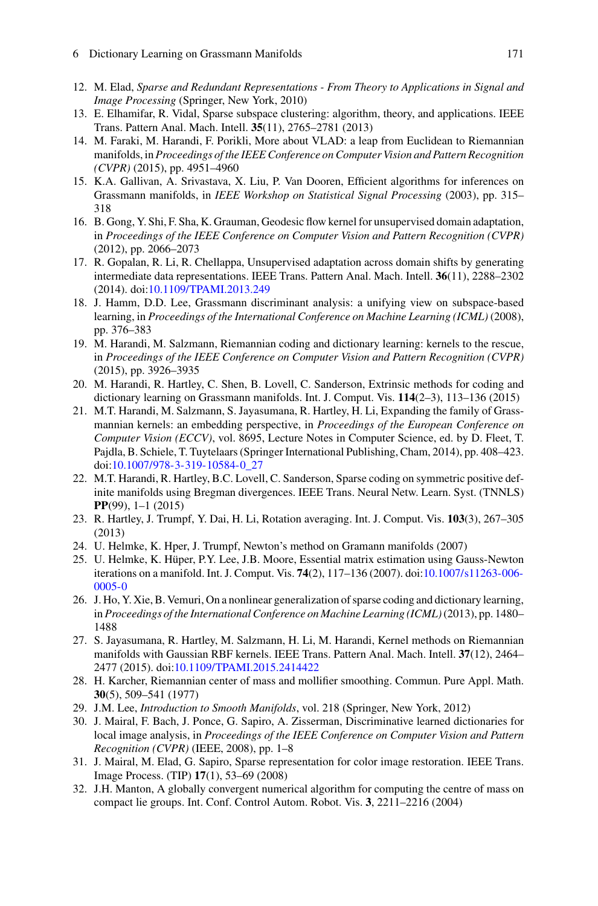- 6 Dictionary Learning on Grassmann Manifolds 171
- <span id="page-26-0"></span>12. M. Elad, *Sparse and Redundant Representations - From Theory to Applications in Signal and Image Processing* (Springer, New York, 2010)
- <span id="page-26-2"></span>13. E. Elhamifar, R. Vidal, Sparse subspace clustering: algorithm, theory, and applications. IEEE Trans. Pattern Anal. Mach. Intell. **35**(11), 2765–2781 (2013)
- <span id="page-26-7"></span>14. M. Faraki, M. Harandi, F. Porikli, More about VLAD: a leap from Euclidean to Riemannian manifolds, in *Proceedings of the IEEE Conference on Computer Vision and Pattern Recognition (CVPR)* (2015), pp. 4951–4960
- <span id="page-26-15"></span>15. K.A. Gallivan, A. Srivastava, X. Liu, P. Van Dooren, Efficient algorithms for inferences on Grassmann manifolds, in *IEEE Workshop on Statistical Signal Processing* (2003), pp. 315– 318
- <span id="page-26-10"></span>16. B. Gong, Y. Shi, F. Sha, K. Grauman, Geodesic flow kernel for unsupervised domain adaptation, in *Proceedings of the IEEE Conference on Computer Vision and Pattern Recognition (CVPR)* (2012), pp. 2066–2073
- <span id="page-26-11"></span>17. R. Gopalan, R. Li, R. Chellappa, Unsupervised adaptation across domain shifts by generating intermediate data representations. IEEE Trans. Pattern Anal. Mach. Intell. **36**(11), 2288–2302 (2014). doi[:10.1109/TPAMI.2013.249](http://dx.doi.org/10.1109/TPAMI.2013.249)
- <span id="page-26-8"></span>18. J. Hamm, D.D. Lee, Grassmann discriminant analysis: a unifying view on subspace-based learning, in *Proceedings of the International Conference on Machine Learning (ICML)* (2008), pp. 376–383
- <span id="page-26-20"></span>19. M. Harandi, M. Salzmann, Riemannian coding and dictionary learning: kernels to the rescue, in *Proceedings of the IEEE Conference on Computer Vision and Pattern Recognition (CVPR)* (2015), pp. 3926–3935
- <span id="page-26-4"></span>20. M. Harandi, R. Hartley, C. Shen, B. Lovell, C. Sanderson, Extrinsic methods for coding and dictionary learning on Grassmann manifolds. Int. J. Comput. Vis. **114**(2–3), 113–136 (2015)
- <span id="page-26-9"></span>21. M.T. Harandi, M. Salzmann, S. Jayasumana, R. Hartley, H. Li, Expanding the family of Grassmannian kernels: an embedding perspective, in *Proceedings of the European Conference on Computer Vision (ECCV)*, vol. 8695, Lecture Notes in Computer Science, ed. by D. Fleet, T. Pajdla, B. Schiele, T. Tuytelaars (Springer International Publishing, Cham, 2014), pp. 408–423. doi[:10.1007/978-3-319-10584-0\\_27](http://dx.doi.org/10.1007/978-3-319-10584-0_27)
- <span id="page-26-5"></span>22. M.T. Harandi, R. Hartley, B.C. Lovell, C. Sanderson, Sparse coding on symmetric positive definite manifolds using Bregman divergences. IEEE Trans. Neural Netw. Learn. Syst. (TNNLS) **PP**(99), 1–1 (2015)
- <span id="page-26-17"></span>23. R. Hartley, J. Trumpf, Y. Dai, H. Li, Rotation averaging. Int. J. Comput. Vis. **103**(3), 267–305 (2013)
- <span id="page-26-14"></span>24. U. Helmke, K. Hper, J. Trumpf, Newton's method on Gramann manifolds (2007)
- <span id="page-26-13"></span>25. U. Helmke, K. Hüper, P.Y. Lee, J.B. Moore, Essential matrix estimation using Gauss-Newton iterations on a manifold. Int. J. Comput. Vis. **74**(2), 117–136 (2007). doi[:10.1007/s11263-006-](http://dx.doi.org/10.1007/s11263-006-0005-0) [0005-0](http://dx.doi.org/10.1007/s11263-006-0005-0)
- <span id="page-26-6"></span>26. J. Ho, Y. Xie, B. Vemuri, On a nonlinear generalization of sparse coding and dictionary learning, in *Proceedings of the International Conference on Machine Learning (ICML)*(2013), pp. 1480– 1488
- <span id="page-26-19"></span>27. S. Jayasumana, R. Hartley, M. Salzmann, H. Li, M. Harandi, Kernel methods on Riemannian manifolds with Gaussian RBF kernels. IEEE Trans. Pattern Anal. Mach. Intell. **37**(12), 2464– 2477 (2015). doi[:10.1109/TPAMI.2015.2414422](http://dx.doi.org/10.1109/TPAMI.2015.2414422)
- <span id="page-26-16"></span>28. H. Karcher, Riemannian center of mass and mollifier smoothing. Commun. Pure Appl. Math. **30**(5), 509–541 (1977)
- <span id="page-26-12"></span>29. J.M. Lee, *Introduction to Smooth Manifolds*, vol. 218 (Springer, New York, 2012)
- <span id="page-26-1"></span>30. J. Mairal, F. Bach, J. Ponce, G. Sapiro, A. Zisserman, Discriminative learned dictionaries for local image analysis, in *Proceedings of the IEEE Conference on Computer Vision and Pattern Recognition (CVPR)* (IEEE, 2008), pp. 1–8
- <span id="page-26-3"></span>31. J. Mairal, M. Elad, G. Sapiro, Sparse representation for color image restoration. IEEE Trans. Image Process. (TIP) **17**(1), 53–69 (2008)
- <span id="page-26-18"></span>32. J.H. Manton, A globally convergent numerical algorithm for computing the centre of mass on compact lie groups. Int. Conf. Control Autom. Robot. Vis. **3**, 2211–2216 (2004)